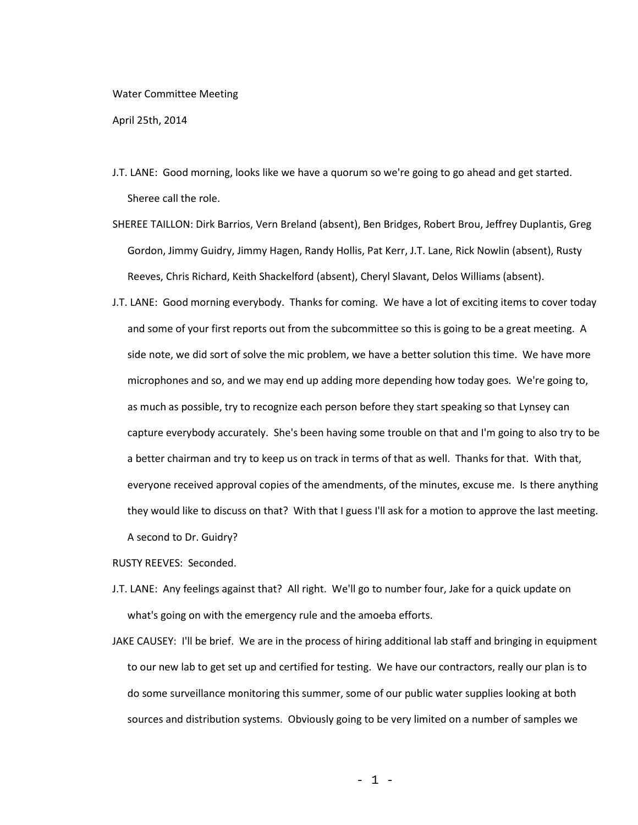## Water Committee Meeting

April 25th, 2014

- J.T. LANE: Good morning, looks like we have a quorum so we're going to go ahead and get started. Sheree call the role.
- SHEREE TAILLON: Dirk Barrios, Vern Breland (absent), Ben Bridges, Robert Brou, Jeffrey Duplantis, Greg Gordon, Jimmy Guidry, Jimmy Hagen, Randy Hollis, Pat Kerr, J.T. Lane, Rick Nowlin (absent), Rusty Reeves, Chris Richard, Keith Shackelford (absent), Cheryl Slavant, Delos Williams (absent).
- J.T. LANE: Good morning everybody. Thanks for coming. We have a lot of exciting items to cover today and some of your first reports out from the subcommittee so this is going to be a great meeting. A side note, we did sort of solve the mic problem, we have a better solution this time. We have more microphones and so, and we may end up adding more depending how today goes. We're going to, as much as possible, try to recognize each person before they start speaking so that Lynsey can capture everybody accurately. She's been having some trouble on that and I'm going to also try to be a better chairman and try to keep us on track in terms of that as well. Thanks for that. With that, everyone received approval copies of the amendments, of the minutes, excuse me. Is there anything they would like to discuss on that? With that I guess I'll ask for a motion to approve the last meeting. A second to Dr. Guidry?

RUSTY REEVES: Seconded.

- J.T. LANE: Any feelings against that? All right. We'll go to number four, Jake for a quick update on what's going on with the emergency rule and the amoeba efforts.
- JAKE CAUSEY: I'll be brief. We are in the process of hiring additional lab staff and bringing in equipment to our new lab to get set up and certified for testing. We have our contractors, really our plan is to do some surveillance monitoring this summer, some of our public water supplies looking at both sources and distribution systems. Obviously going to be very limited on a number of samples we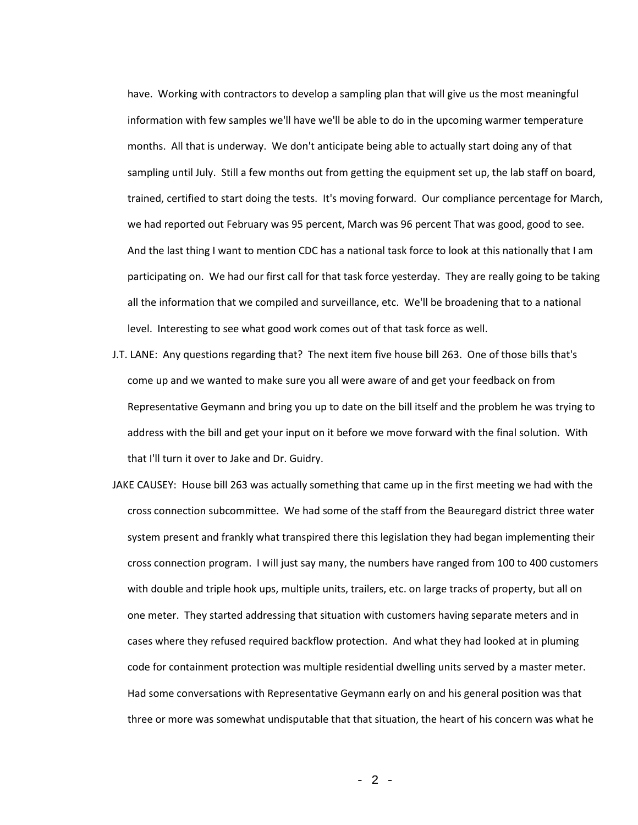have. Working with contractors to develop a sampling plan that will give us the most meaningful information with few samples we'll have we'll be able to do in the upcoming warmer temperature months. All that is underway. We don't anticipate being able to actually start doing any of that sampling until July. Still a few months out from getting the equipment set up, the lab staff on board, trained, certified to start doing the tests. It's moving forward. Our compliance percentage for March, we had reported out February was 95 percent, March was 96 percent That was good, good to see. And the last thing I want to mention CDC has a national task force to look at this nationally that I am participating on. We had our first call for that task force yesterday. They are really going to be taking all the information that we compiled and surveillance, etc. We'll be broadening that to a national level. Interesting to see what good work comes out of that task force as well.

- J.T. LANE: Any questions regarding that? The next item five house bill 263. One of those bills that's come up and we wanted to make sure you all were aware of and get your feedback on from Representative Geymann and bring you up to date on the bill itself and the problem he was trying to address with the bill and get your input on it before we move forward with the final solution. With that I'll turn it over to Jake and Dr. Guidry.
- JAKE CAUSEY: House bill 263 was actually something that came up in the first meeting we had with the cross connection subcommittee. We had some of the staff from the Beauregard district three water system present and frankly what transpired there this legislation they had began implementing their cross connection program. I will just say many, the numbers have ranged from 100 to 400 customers with double and triple hook ups, multiple units, trailers, etc. on large tracks of property, but all on one meter. They started addressing that situation with customers having separate meters and in cases where they refused required backflow protection. And what they had looked at in pluming code for containment protection was multiple residential dwelling units served by a master meter. Had some conversations with Representative Geymann early on and his general position was that three or more was somewhat undisputable that that situation, the heart of his concern was what he

- 2 -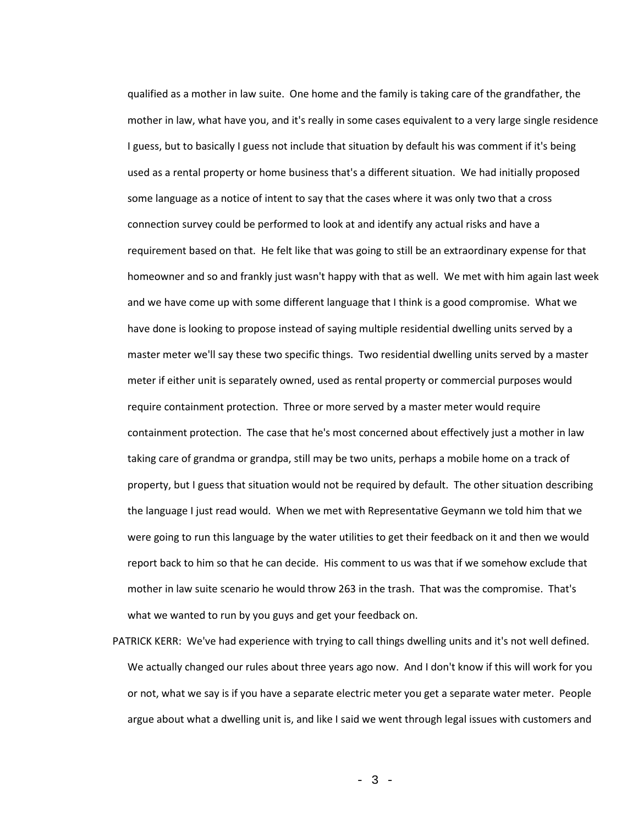qualified as a mother in law suite. One home and the family is taking care of the grandfather, the mother in law, what have you, and it's really in some cases equivalent to a very large single residence I guess, but to basically I guess not include that situation by default his was comment if it's being used as a rental property or home business that's a different situation. We had initially proposed some language as a notice of intent to say that the cases where it was only two that a cross connection survey could be performed to look at and identify any actual risks and have a requirement based on that. He felt like that was going to still be an extraordinary expense for that homeowner and so and frankly just wasn't happy with that as well. We met with him again last week and we have come up with some different language that I think is a good compromise. What we have done is looking to propose instead of saying multiple residential dwelling units served by a master meter we'll say these two specific things. Two residential dwelling units served by a master meter if either unit is separately owned, used as rental property or commercial purposes would require containment protection. Three or more served by a master meter would require containment protection. The case that he's most concerned about effectively just a mother in law taking care of grandma or grandpa, still may be two units, perhaps a mobile home on a track of property, but I guess that situation would not be required by default. The other situation describing the language I just read would. When we met with Representative Geymann we told him that we were going to run this language by the water utilities to get their feedback on it and then we would report back to him so that he can decide. His comment to us was that if we somehow exclude that mother in law suite scenario he would throw 263 in the trash. That was the compromise. That's what we wanted to run by you guys and get your feedback on.

PATRICK KERR: We've had experience with trying to call things dwelling units and it's not well defined. We actually changed our rules about three years ago now. And I don't know if this will work for you or not, what we say is if you have a separate electric meter you get a separate water meter. People argue about what a dwelling unit is, and like I said we went through legal issues with customers and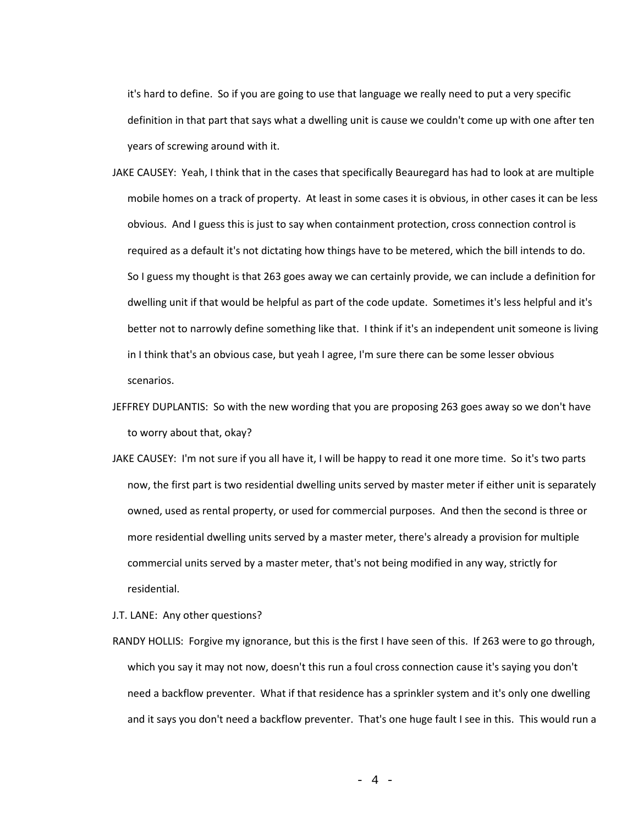it's hard to define. So if you are going to use that language we really need to put a very specific definition in that part that says what a dwelling unit is cause we couldn't come up with one after ten years of screwing around with it.

- JAKE CAUSEY: Yeah, I think that in the cases that specifically Beauregard has had to look at are multiple mobile homes on a track of property. At least in some cases it is obvious, in other cases it can be less obvious. And I guess this is just to say when containment protection, cross connection control is required as a default it's not dictating how things have to be metered, which the bill intends to do. So I guess my thought is that 263 goes away we can certainly provide, we can include a definition for dwelling unit if that would be helpful as part of the code update. Sometimes it's less helpful and it's better not to narrowly define something like that. I think if it's an independent unit someone is living in I think that's an obvious case, but yeah I agree, I'm sure there can be some lesser obvious scenarios.
- JEFFREY DUPLANTIS: So with the new wording that you are proposing 263 goes away so we don't have to worry about that, okay?
- JAKE CAUSEY: I'm not sure if you all have it, I will be happy to read it one more time. So it's two parts now, the first part is two residential dwelling units served by master meter if either unit is separately owned, used as rental property, or used for commercial purposes. And then the second is three or more residential dwelling units served by a master meter, there's already a provision for multiple commercial units served by a master meter, that's not being modified in any way, strictly for residential.
- J.T. LANE: Any other questions?
- RANDY HOLLIS: Forgive my ignorance, but this is the first I have seen of this. If 263 were to go through, which you say it may not now, doesn't this run a foul cross connection cause it's saying you don't need a backflow preventer. What if that residence has a sprinkler system and it's only one dwelling and it says you don't need a backflow preventer. That's one huge fault I see in this. This would run a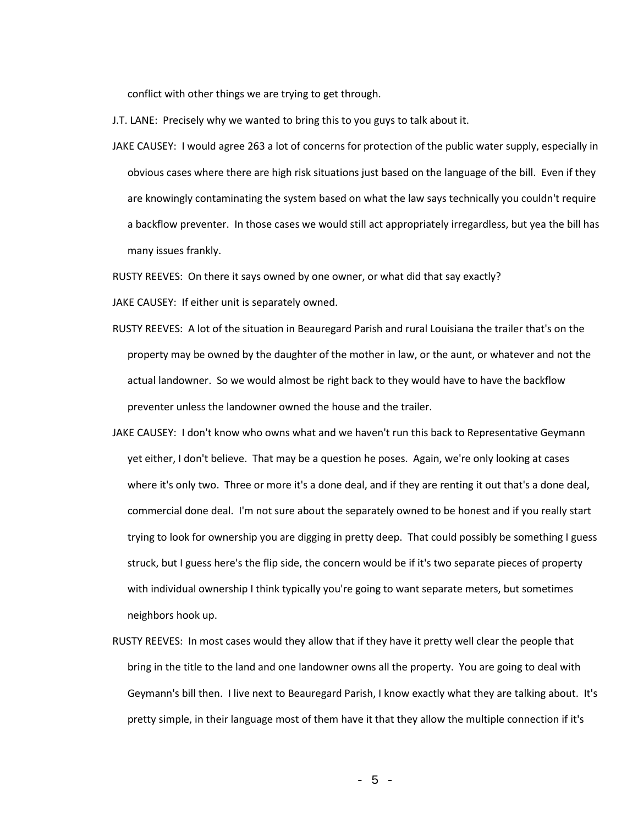conflict with other things we are trying to get through.

J.T. LANE: Precisely why we wanted to bring this to you guys to talk about it.

JAKE CAUSEY: I would agree 263 a lot of concerns for protection of the public water supply, especially in obvious cases where there are high risk situations just based on the language of the bill. Even if they are knowingly contaminating the system based on what the law says technically you couldn't require a backflow preventer. In those cases we would still act appropriately irregardless, but yea the bill has many issues frankly.

RUSTY REEVES: On there it says owned by one owner, or what did that say exactly?

JAKE CAUSEY: If either unit is separately owned.

- RUSTY REEVES: A lot of the situation in Beauregard Parish and rural Louisiana the trailer that's on the property may be owned by the daughter of the mother in law, or the aunt, or whatever and not the actual landowner. So we would almost be right back to they would have to have the backflow preventer unless the landowner owned the house and the trailer.
- JAKE CAUSEY: I don't know who owns what and we haven't run this back to Representative Geymann yet either, I don't believe. That may be a question he poses. Again, we're only looking at cases where it's only two. Three or more it's a done deal, and if they are renting it out that's a done deal, commercial done deal. I'm not sure about the separately owned to be honest and if you really start trying to look for ownership you are digging in pretty deep. That could possibly be something I guess struck, but I guess here's the flip side, the concern would be if it's two separate pieces of property with individual ownership I think typically you're going to want separate meters, but sometimes neighbors hook up.
- RUSTY REEVES: In most cases would they allow that if they have it pretty well clear the people that bring in the title to the land and one landowner owns all the property. You are going to deal with Geymann's bill then. I live next to Beauregard Parish, I know exactly what they are talking about. It's pretty simple, in their language most of them have it that they allow the multiple connection if it's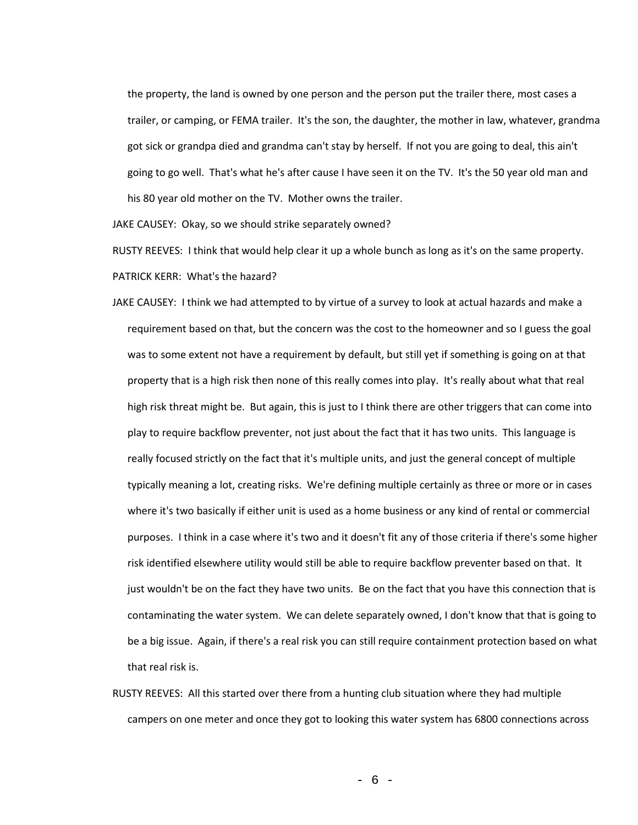the property, the land is owned by one person and the person put the trailer there, most cases a trailer, or camping, or FEMA trailer. It's the son, the daughter, the mother in law, whatever, grandma got sick or grandpa died and grandma can't stay by herself. If not you are going to deal, this ain't going to go well. That's what he's after cause I have seen it on the TV. It's the 50 year old man and his 80 year old mother on the TV. Mother owns the trailer.

JAKE CAUSEY: Okay, so we should strike separately owned?

RUSTY REEVES: I think that would help clear it up a whole bunch as long as it's on the same property. PATRICK KERR: What's the hazard?

- JAKE CAUSEY: I think we had attempted to by virtue of a survey to look at actual hazards and make a requirement based on that, but the concern was the cost to the homeowner and so I guess the goal was to some extent not have a requirement by default, but still yet if something is going on at that property that is a high risk then none of this really comes into play. It's really about what that real high risk threat might be. But again, this is just to I think there are other triggers that can come into play to require backflow preventer, not just about the fact that it has two units. This language is really focused strictly on the fact that it's multiple units, and just the general concept of multiple typically meaning a lot, creating risks. We're defining multiple certainly as three or more or in cases where it's two basically if either unit is used as a home business or any kind of rental or commercial purposes. I think in a case where it's two and it doesn't fit any of those criteria if there's some higher risk identified elsewhere utility would still be able to require backflow preventer based on that. It just wouldn't be on the fact they have two units. Be on the fact that you have this connection that is contaminating the water system. We can delete separately owned, I don't know that that is going to be a big issue. Again, if there's a real risk you can still require containment protection based on what that real risk is.
- RUSTY REEVES: All this started over there from a hunting club situation where they had multiple campers on one meter and once they got to looking this water system has 6800 connections across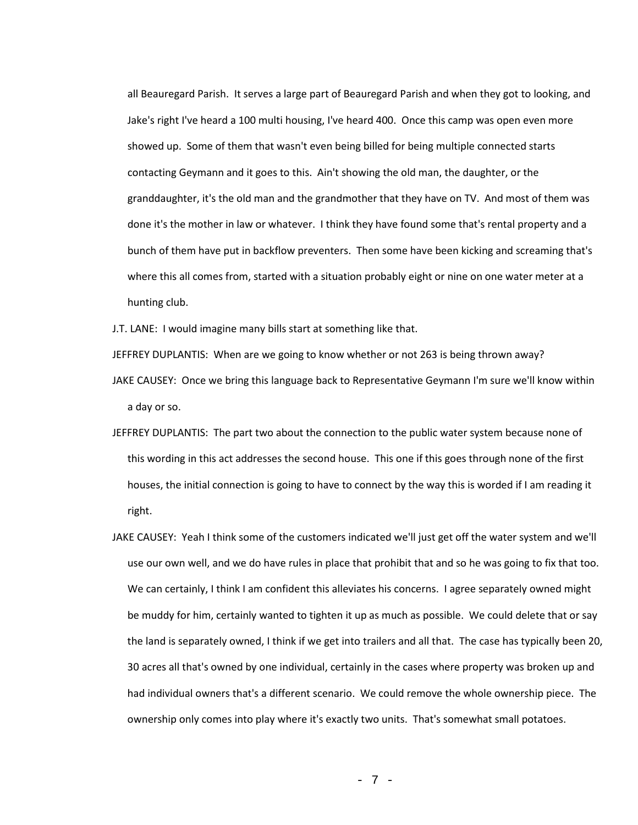all Beauregard Parish. It serves a large part of Beauregard Parish and when they got to looking, and Jake's right I've heard a 100 multi housing, I've heard 400. Once this camp was open even more showed up. Some of them that wasn't even being billed for being multiple connected starts contacting Geymann and it goes to this. Ain't showing the old man, the daughter, or the granddaughter, it's the old man and the grandmother that they have on TV. And most of them was done it's the mother in law or whatever. I think they have found some that's rental property and a bunch of them have put in backflow preventers. Then some have been kicking and screaming that's where this all comes from, started with a situation probably eight or nine on one water meter at a hunting club.

J.T. LANE: I would imagine many bills start at something like that.

JEFFREY DUPLANTIS: When are we going to know whether or not 263 is being thrown away?

- JAKE CAUSEY: Once we bring this language back to Representative Geymann I'm sure we'll know within a day or so.
- JEFFREY DUPLANTIS: The part two about the connection to the public water system because none of this wording in this act addresses the second house. This one if this goes through none of the first houses, the initial connection is going to have to connect by the way this is worded if I am reading it right.
- JAKE CAUSEY: Yeah I think some of the customers indicated we'll just get off the water system and we'll use our own well, and we do have rules in place that prohibit that and so he was going to fix that too. We can certainly, I think I am confident this alleviates his concerns. I agree separately owned might be muddy for him, certainly wanted to tighten it up as much as possible. We could delete that or say the land is separately owned, I think if we get into trailers and all that. The case has typically been 20, 30 acres all that's owned by one individual, certainly in the cases where property was broken up and had individual owners that's a different scenario. We could remove the whole ownership piece. The ownership only comes into play where it's exactly two units. That's somewhat small potatoes.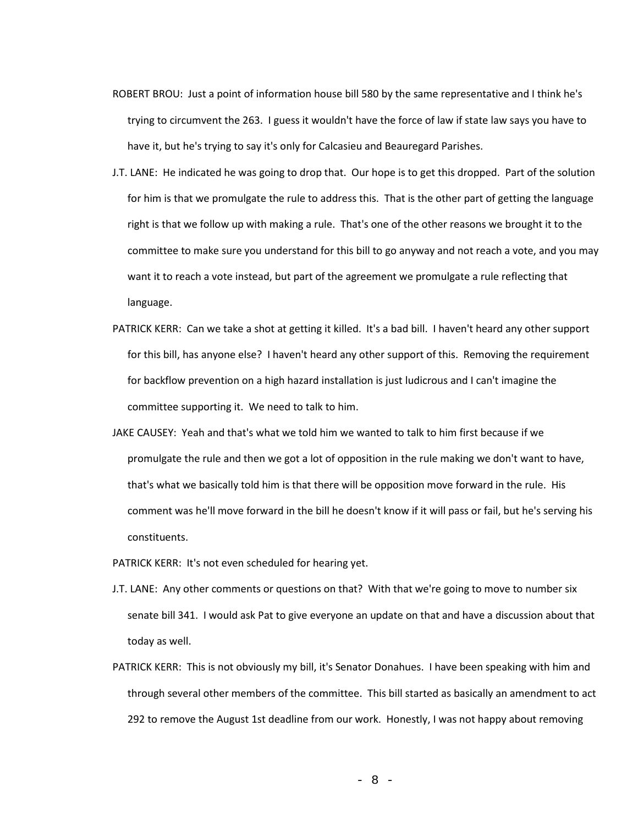- ROBERT BROU: Just a point of information house bill 580 by the same representative and I think he's trying to circumvent the 263. I guess it wouldn't have the force of law if state law says you have to have it, but he's trying to say it's only for Calcasieu and Beauregard Parishes.
- J.T. LANE: He indicated he was going to drop that. Our hope is to get this dropped. Part of the solution for him is that we promulgate the rule to address this. That is the other part of getting the language right is that we follow up with making a rule. That's one of the other reasons we brought it to the committee to make sure you understand for this bill to go anyway and not reach a vote, and you may want it to reach a vote instead, but part of the agreement we promulgate a rule reflecting that language.
- PATRICK KERR: Can we take a shot at getting it killed. It's a bad bill. I haven't heard any other support for this bill, has anyone else? I haven't heard any other support of this. Removing the requirement for backflow prevention on a high hazard installation is just ludicrous and I can't imagine the committee supporting it. We need to talk to him.
- JAKE CAUSEY: Yeah and that's what we told him we wanted to talk to him first because if we promulgate the rule and then we got a lot of opposition in the rule making we don't want to have, that's what we basically told him is that there will be opposition move forward in the rule. His comment was he'll move forward in the bill he doesn't know if it will pass or fail, but he's serving his constituents.
- PATRICK KERR: It's not even scheduled for hearing yet.
- J.T. LANE: Any other comments or questions on that? With that we're going to move to number six senate bill 341. I would ask Pat to give everyone an update on that and have a discussion about that today as well.
- PATRICK KERR: This is not obviously my bill, it's Senator Donahues. I have been speaking with him and through several other members of the committee. This bill started as basically an amendment to act 292 to remove the August 1st deadline from our work. Honestly, I was not happy about removing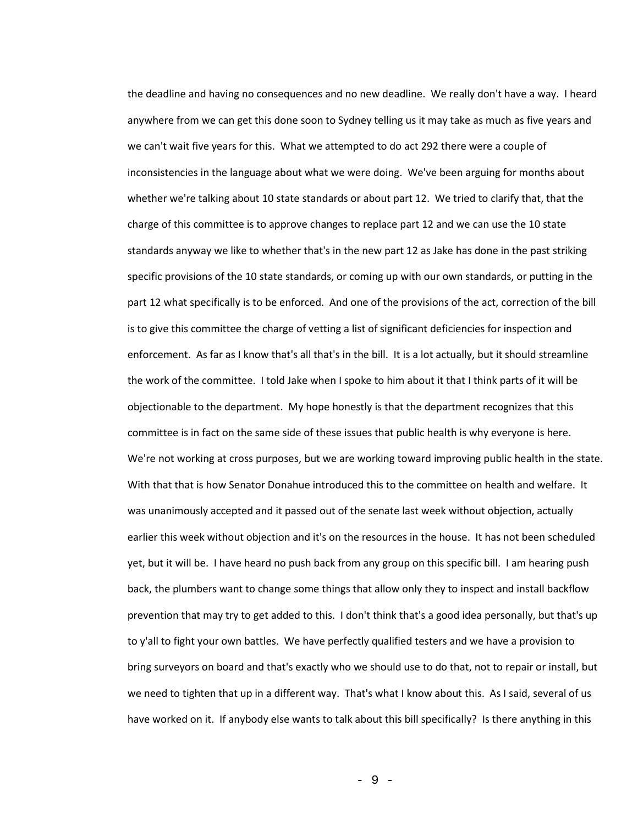the deadline and having no consequences and no new deadline. We really don't have a way. I heard anywhere from we can get this done soon to Sydney telling us it may take as much as five years and we can't wait five years for this. What we attempted to do act 292 there were a couple of inconsistencies in the language about what we were doing. We've been arguing for months about whether we're talking about 10 state standards or about part 12. We tried to clarify that, that the charge of this committee is to approve changes to replace part 12 and we can use the 10 state standards anyway we like to whether that's in the new part 12 as Jake has done in the past striking specific provisions of the 10 state standards, or coming up with our own standards, or putting in the part 12 what specifically is to be enforced. And one of the provisions of the act, correction of the bill is to give this committee the charge of vetting a list of significant deficiencies for inspection and enforcement. As far as I know that's all that's in the bill. It is a lot actually, but it should streamline the work of the committee. I told Jake when I spoke to him about it that I think parts of it will be objectionable to the department. My hope honestly is that the department recognizes that this committee is in fact on the same side of these issues that public health is why everyone is here. We're not working at cross purposes, but we are working toward improving public health in the state. With that that is how Senator Donahue introduced this to the committee on health and welfare. It was unanimously accepted and it passed out of the senate last week without objection, actually earlier this week without objection and it's on the resources in the house. It has not been scheduled yet, but it will be. I have heard no push back from any group on this specific bill. I am hearing push back, the plumbers want to change some things that allow only they to inspect and install backflow prevention that may try to get added to this. I don't think that's a good idea personally, but that's up to y'all to fight your own battles. We have perfectly qualified testers and we have a provision to bring surveyors on board and that's exactly who we should use to do that, not to repair or install, but we need to tighten that up in a different way. That's what I know about this. As I said, several of us have worked on it. If anybody else wants to talk about this bill specifically? Is there anything in this

- 9 -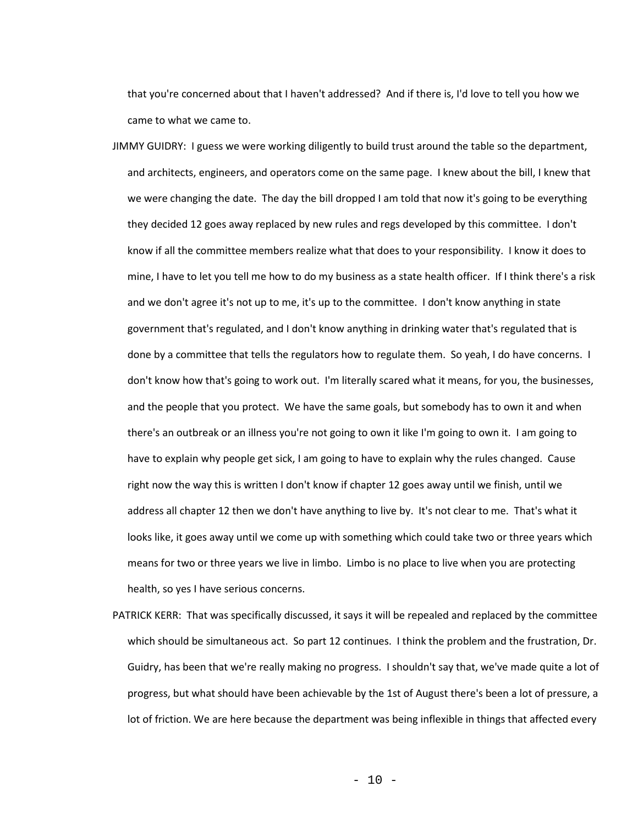that you're concerned about that I haven't addressed? And if there is, I'd love to tell you how we came to what we came to.

- JIMMY GUIDRY: I guess we were working diligently to build trust around the table so the department, and architects, engineers, and operators come on the same page. I knew about the bill, I knew that we were changing the date. The day the bill dropped I am told that now it's going to be everything they decided 12 goes away replaced by new rules and regs developed by this committee. I don't know if all the committee members realize what that does to your responsibility. I know it does to mine, I have to let you tell me how to do my business as a state health officer. If I think there's a risk and we don't agree it's not up to me, it's up to the committee. I don't know anything in state government that's regulated, and I don't know anything in drinking water that's regulated that is done by a committee that tells the regulators how to regulate them. So yeah, I do have concerns. I don't know how that's going to work out. I'm literally scared what it means, for you, the businesses, and the people that you protect. We have the same goals, but somebody has to own it and when there's an outbreak or an illness you're not going to own it like I'm going to own it. I am going to have to explain why people get sick, I am going to have to explain why the rules changed. Cause right now the way this is written I don't know if chapter 12 goes away until we finish, until we address all chapter 12 then we don't have anything to live by. It's not clear to me. That's what it looks like, it goes away until we come up with something which could take two or three years which means for two or three years we live in limbo. Limbo is no place to live when you are protecting health, so yes I have serious concerns.
- PATRICK KERR: That was specifically discussed, it says it will be repealed and replaced by the committee which should be simultaneous act. So part 12 continues. I think the problem and the frustration, Dr. Guidry, has been that we're really making no progress. I shouldn't say that, we've made quite a lot of progress, but what should have been achievable by the 1st of August there's been a lot of pressure, a lot of friction. We are here because the department was being inflexible in things that affected every

 $-10 -$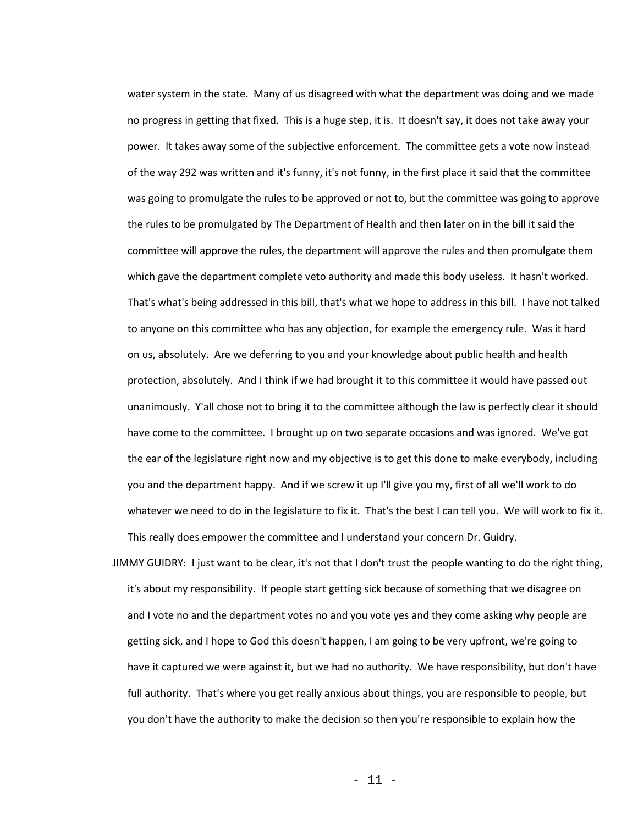water system in the state. Many of us disagreed with what the department was doing and we made no progress in getting that fixed. This is a huge step, it is. It doesn't say, it does not take away your power. It takes away some of the subjective enforcement. The committee gets a vote now instead of the way 292 was written and it's funny, it's not funny, in the first place it said that the committee was going to promulgate the rules to be approved or not to, but the committee was going to approve the rules to be promulgated by The Department of Health and then later on in the bill it said the committee will approve the rules, the department will approve the rules and then promulgate them which gave the department complete veto authority and made this body useless. It hasn't worked. That's what's being addressed in this bill, that's what we hope to address in this bill. I have not talked to anyone on this committee who has any objection, for example the emergency rule. Was it hard on us, absolutely. Are we deferring to you and your knowledge about public health and health protection, absolutely. And I think if we had brought it to this committee it would have passed out unanimously. Y'all chose not to bring it to the committee although the law is perfectly clear it should have come to the committee. I brought up on two separate occasions and was ignored. We've got the ear of the legislature right now and my objective is to get this done to make everybody, including you and the department happy. And if we screw it up I'll give you my, first of all we'll work to do whatever we need to do in the legislature to fix it. That's the best I can tell you. We will work to fix it. This really does empower the committee and I understand your concern Dr. Guidry.

JIMMY GUIDRY: I just want to be clear, it's not that I don't trust the people wanting to do the right thing, it's about my responsibility. If people start getting sick because of something that we disagree on and I vote no and the department votes no and you vote yes and they come asking why people are getting sick, and I hope to God this doesn't happen, I am going to be very upfront, we're going to have it captured we were against it, but we had no authority. We have responsibility, but don't have full authority. That's where you get really anxious about things, you are responsible to people, but you don't have the authority to make the decision so then you're responsible to explain how the

- 11 -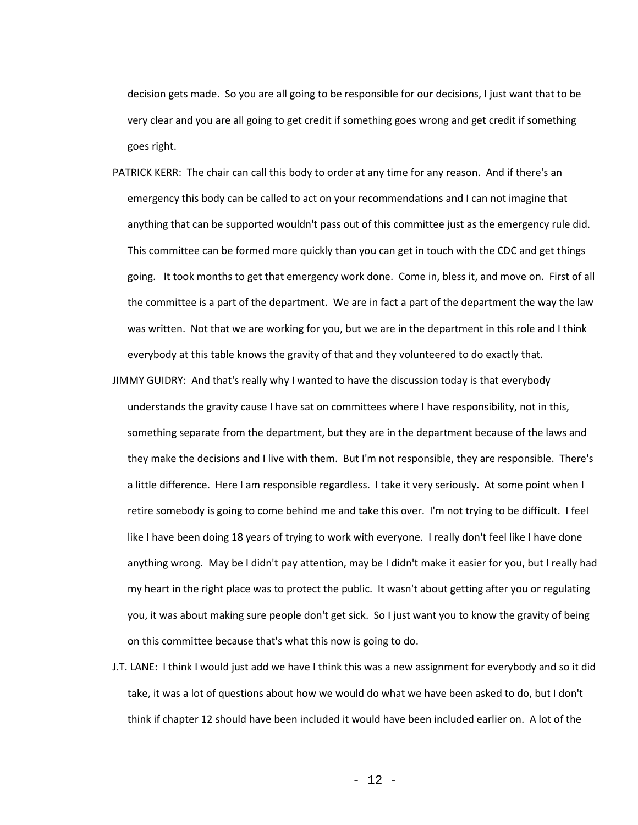decision gets made. So you are all going to be responsible for our decisions, I just want that to be very clear and you are all going to get credit if something goes wrong and get credit if something goes right.

- PATRICK KERR: The chair can call this body to order at any time for any reason. And if there's an emergency this body can be called to act on your recommendations and I can not imagine that anything that can be supported wouldn't pass out of this committee just as the emergency rule did. This committee can be formed more quickly than you can get in touch with the CDC and get things going. It took months to get that emergency work done. Come in, bless it, and move on. First of all the committee is a part of the department. We are in fact a part of the department the way the law was written. Not that we are working for you, but we are in the department in this role and I think everybody at this table knows the gravity of that and they volunteered to do exactly that.
- JIMMY GUIDRY: And that's really why I wanted to have the discussion today is that everybody understands the gravity cause I have sat on committees where I have responsibility, not in this, something separate from the department, but they are in the department because of the laws and they make the decisions and I live with them. But I'm not responsible, they are responsible. There's a little difference. Here I am responsible regardless. I take it very seriously. At some point when I retire somebody is going to come behind me and take this over. I'm not trying to be difficult. I feel like I have been doing 18 years of trying to work with everyone. I really don't feel like I have done anything wrong. May be I didn't pay attention, may be I didn't make it easier for you, but I really had my heart in the right place was to protect the public. It wasn't about getting after you or regulating you, it was about making sure people don't get sick. So I just want you to know the gravity of being on this committee because that's what this now is going to do.
- J.T. LANE: I think I would just add we have I think this was a new assignment for everybody and so it did take, it was a lot of questions about how we would do what we have been asked to do, but I don't think if chapter 12 should have been included it would have been included earlier on. A lot of the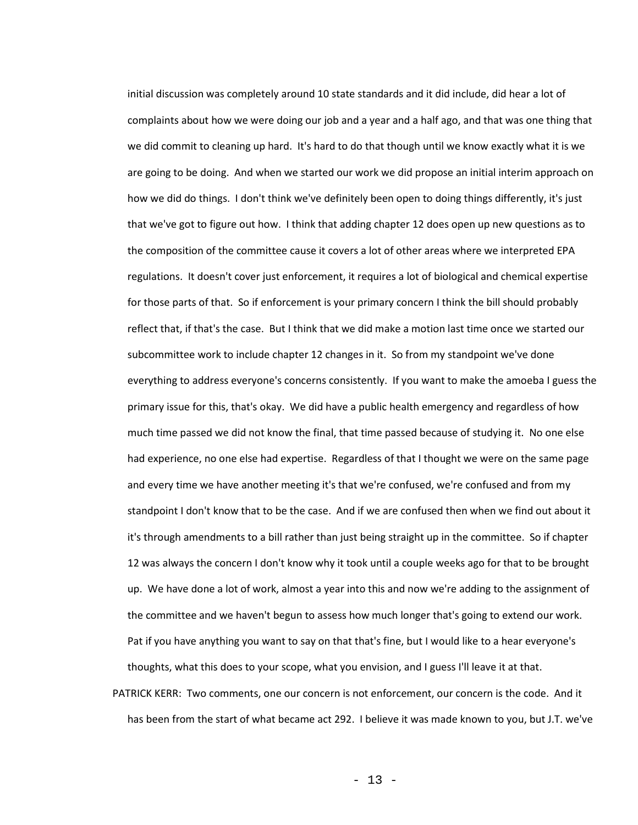initial discussion was completely around 10 state standards and it did include, did hear a lot of complaints about how we were doing our job and a year and a half ago, and that was one thing that we did commit to cleaning up hard. It's hard to do that though until we know exactly what it is we are going to be doing. And when we started our work we did propose an initial interim approach on how we did do things. I don't think we've definitely been open to doing things differently, it's just that we've got to figure out how. I think that adding chapter 12 does open up new questions as to the composition of the committee cause it covers a lot of other areas where we interpreted EPA regulations. It doesn't cover just enforcement, it requires a lot of biological and chemical expertise for those parts of that. So if enforcement is your primary concern I think the bill should probably reflect that, if that's the case. But I think that we did make a motion last time once we started our subcommittee work to include chapter 12 changes in it. So from my standpoint we've done everything to address everyone's concerns consistently. If you want to make the amoeba I guess the primary issue for this, that's okay. We did have a public health emergency and regardless of how much time passed we did not know the final, that time passed because of studying it. No one else had experience, no one else had expertise. Regardless of that I thought we were on the same page and every time we have another meeting it's that we're confused, we're confused and from my standpoint I don't know that to be the case. And if we are confused then when we find out about it it's through amendments to a bill rather than just being straight up in the committee. So if chapter 12 was always the concern I don't know why it took until a couple weeks ago for that to be brought up. We have done a lot of work, almost a year into this and now we're adding to the assignment of the committee and we haven't begun to assess how much longer that's going to extend our work. Pat if you have anything you want to say on that that's fine, but I would like to a hear everyone's thoughts, what this does to your scope, what you envision, and I guess I'll leave it at that.

PATRICK KERR: Two comments, one our concern is not enforcement, our concern is the code. And it has been from the start of what became act 292. I believe it was made known to you, but J.T. we've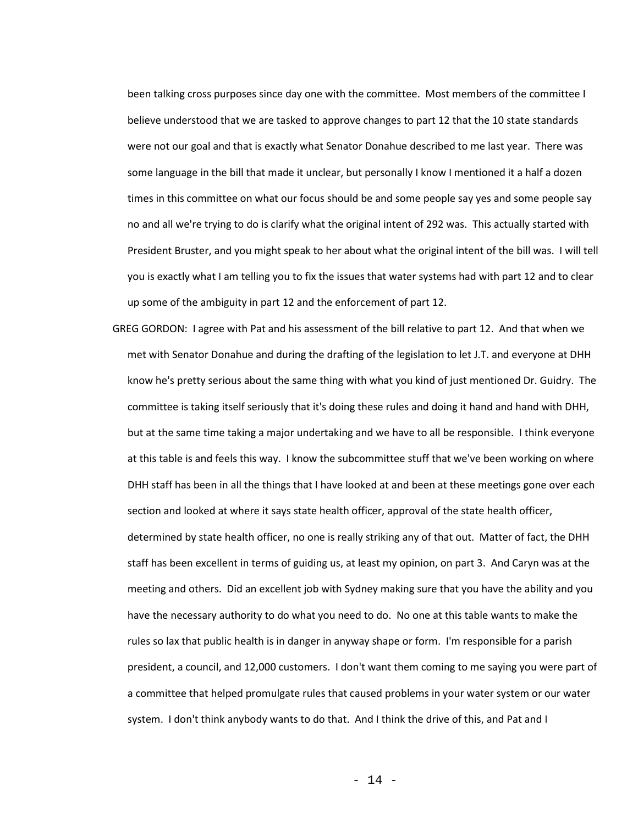been talking cross purposes since day one with the committee. Most members of the committee I believe understood that we are tasked to approve changes to part 12 that the 10 state standards were not our goal and that is exactly what Senator Donahue described to me last year. There was some language in the bill that made it unclear, but personally I know I mentioned it a half a dozen times in this committee on what our focus should be and some people say yes and some people say no and all we're trying to do is clarify what the original intent of 292 was. This actually started with President Bruster, and you might speak to her about what the original intent of the bill was. I will tell you is exactly what I am telling you to fix the issues that water systems had with part 12 and to clear up some of the ambiguity in part 12 and the enforcement of part 12.

GREG GORDON: I agree with Pat and his assessment of the bill relative to part 12. And that when we met with Senator Donahue and during the drafting of the legislation to let J.T. and everyone at DHH know he's pretty serious about the same thing with what you kind of just mentioned Dr. Guidry. The committee is taking itself seriously that it's doing these rules and doing it hand and hand with DHH, but at the same time taking a major undertaking and we have to all be responsible. I think everyone at this table is and feels this way. I know the subcommittee stuff that we've been working on where DHH staff has been in all the things that I have looked at and been at these meetings gone over each section and looked at where it says state health officer, approval of the state health officer, determined by state health officer, no one is really striking any of that out. Matter of fact, the DHH staff has been excellent in terms of guiding us, at least my opinion, on part 3. And Caryn was at the meeting and others. Did an excellent job with Sydney making sure that you have the ability and you have the necessary authority to do what you need to do. No one at this table wants to make the rules so lax that public health is in danger in anyway shape or form. I'm responsible for a parish president, a council, and 12,000 customers. I don't want them coming to me saying you were part of a committee that helped promulgate rules that caused problems in your water system or our water system. I don't think anybody wants to do that. And I think the drive of this, and Pat and I

- 14 -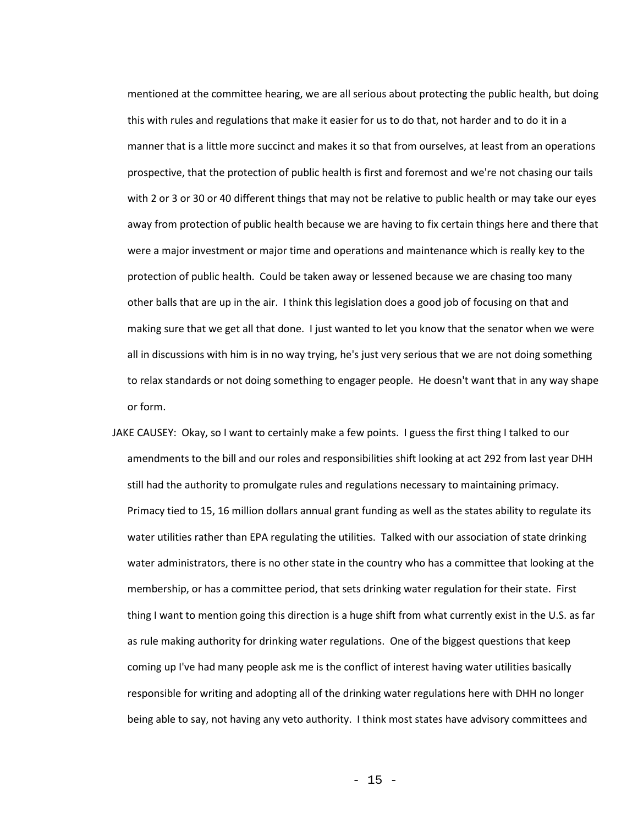mentioned at the committee hearing, we are all serious about protecting the public health, but doing this with rules and regulations that make it easier for us to do that, not harder and to do it in a manner that is a little more succinct and makes it so that from ourselves, at least from an operations prospective, that the protection of public health is first and foremost and we're not chasing our tails with 2 or 3 or 30 or 40 different things that may not be relative to public health or may take our eyes away from protection of public health because we are having to fix certain things here and there that were a major investment or major time and operations and maintenance which is really key to the protection of public health. Could be taken away or lessened because we are chasing too many other balls that are up in the air. I think this legislation does a good job of focusing on that and making sure that we get all that done. I just wanted to let you know that the senator when we were all in discussions with him is in no way trying, he's just very serious that we are not doing something to relax standards or not doing something to engager people. He doesn't want that in any way shape or form.

JAKE CAUSEY: Okay, so I want to certainly make a few points. I guess the first thing I talked to our amendments to the bill and our roles and responsibilities shift looking at act 292 from last year DHH still had the authority to promulgate rules and regulations necessary to maintaining primacy. Primacy tied to 15, 16 million dollars annual grant funding as well as the states ability to regulate its water utilities rather than EPA regulating the utilities. Talked with our association of state drinking water administrators, there is no other state in the country who has a committee that looking at the membership, or has a committee period, that sets drinking water regulation for their state. First thing I want to mention going this direction is a huge shift from what currently exist in the U.S. as far as rule making authority for drinking water regulations. One of the biggest questions that keep coming up I've had many people ask me is the conflict of interest having water utilities basically responsible for writing and adopting all of the drinking water regulations here with DHH no longer being able to say, not having any veto authority. I think most states have advisory committees and

 $- 15 -$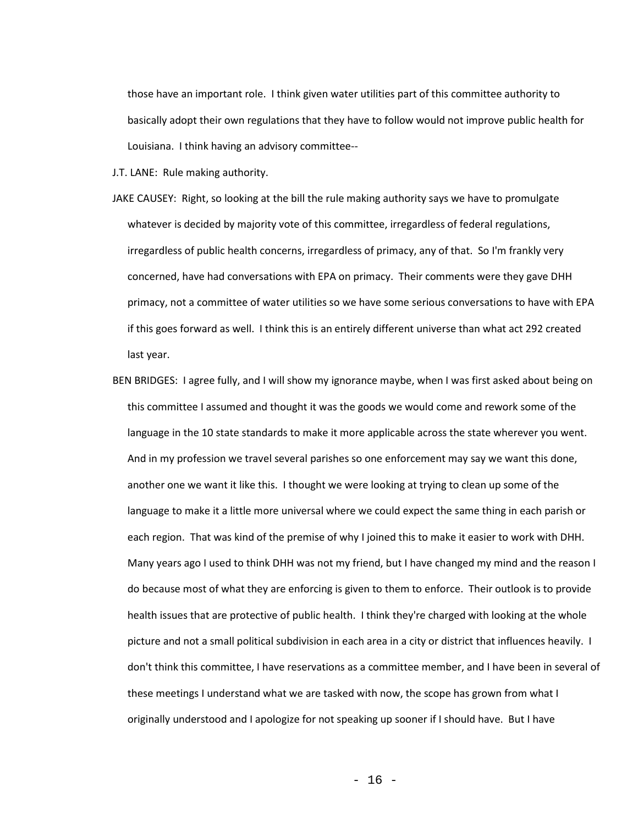those have an important role. I think given water utilities part of this committee authority to basically adopt their own regulations that they have to follow would not improve public health for Louisiana. I think having an advisory committee--

- J.T. LANE: Rule making authority.
- JAKE CAUSEY: Right, so looking at the bill the rule making authority says we have to promulgate whatever is decided by majority vote of this committee, irregardless of federal regulations, irregardless of public health concerns, irregardless of primacy, any of that. So I'm frankly very concerned, have had conversations with EPA on primacy. Their comments were they gave DHH primacy, not a committee of water utilities so we have some serious conversations to have with EPA if this goes forward as well. I think this is an entirely different universe than what act 292 created last year.
- BEN BRIDGES: I agree fully, and I will show my ignorance maybe, when I was first asked about being on this committee I assumed and thought it was the goods we would come and rework some of the language in the 10 state standards to make it more applicable across the state wherever you went. And in my profession we travel several parishes so one enforcement may say we want this done, another one we want it like this. I thought we were looking at trying to clean up some of the language to make it a little more universal where we could expect the same thing in each parish or each region. That was kind of the premise of why I joined this to make it easier to work with DHH. Many years ago I used to think DHH was not my friend, but I have changed my mind and the reason I do because most of what they are enforcing is given to them to enforce. Their outlook is to provide health issues that are protective of public health. I think they're charged with looking at the whole picture and not a small political subdivision in each area in a city or district that influences heavily. I don't think this committee, I have reservations as a committee member, and I have been in several of these meetings I understand what we are tasked with now, the scope has grown from what I originally understood and I apologize for not speaking up sooner if I should have. But I have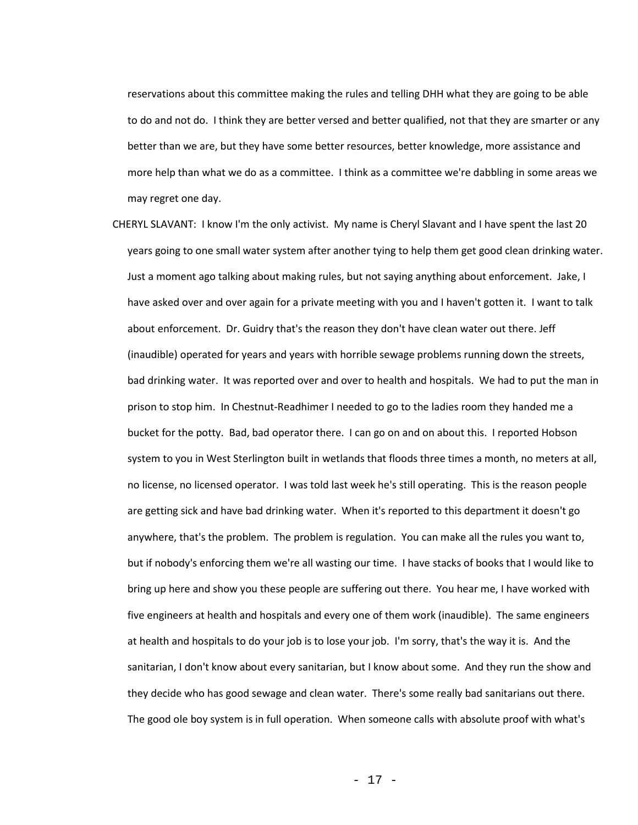reservations about this committee making the rules and telling DHH what they are going to be able to do and not do. I think they are better versed and better qualified, not that they are smarter or any better than we are, but they have some better resources, better knowledge, more assistance and more help than what we do as a committee. I think as a committee we're dabbling in some areas we may regret one day.

CHERYL SLAVANT: I know I'm the only activist. My name is Cheryl Slavant and I have spent the last 20 years going to one small water system after another tying to help them get good clean drinking water. Just a moment ago talking about making rules, but not saying anything about enforcement. Jake, I have asked over and over again for a private meeting with you and I haven't gotten it. I want to talk about enforcement. Dr. Guidry that's the reason they don't have clean water out there. Jeff (inaudible) operated for years and years with horrible sewage problems running down the streets, bad drinking water. It was reported over and over to health and hospitals. We had to put the man in prison to stop him. In Chestnut-Readhimer I needed to go to the ladies room they handed me a bucket for the potty. Bad, bad operator there. I can go on and on about this. I reported Hobson system to you in West Sterlington built in wetlands that floods three times a month, no meters at all, no license, no licensed operator. I was told last week he's still operating. This is the reason people are getting sick and have bad drinking water. When it's reported to this department it doesn't go anywhere, that's the problem. The problem is regulation. You can make all the rules you want to, but if nobody's enforcing them we're all wasting our time. I have stacks of books that I would like to bring up here and show you these people are suffering out there. You hear me, I have worked with five engineers at health and hospitals and every one of them work (inaudible). The same engineers at health and hospitals to do your job is to lose your job. I'm sorry, that's the way it is. And the sanitarian, I don't know about every sanitarian, but I know about some. And they run the show and they decide who has good sewage and clean water. There's some really bad sanitarians out there. The good ole boy system is in full operation. When someone calls with absolute proof with what's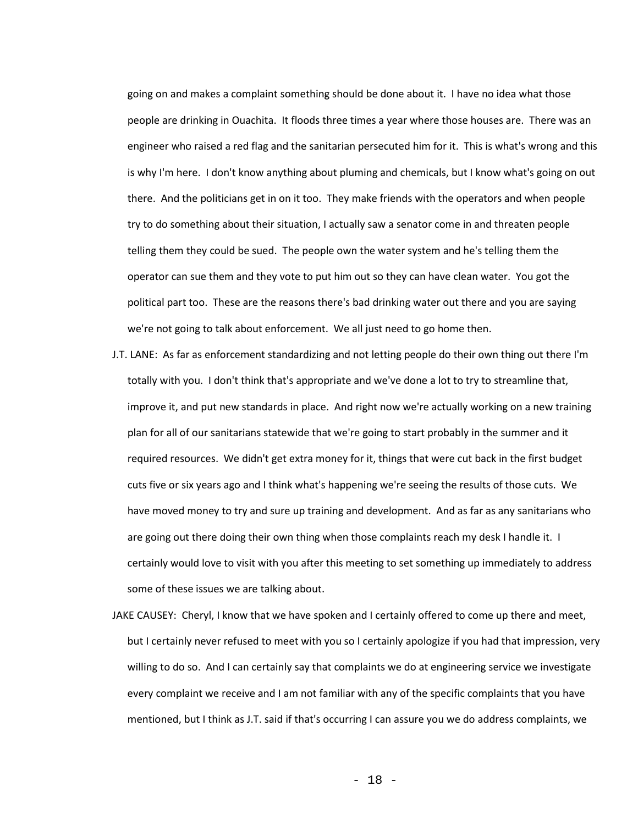going on and makes a complaint something should be done about it. I have no idea what those people are drinking in Ouachita. It floods three times a year where those houses are. There was an engineer who raised a red flag and the sanitarian persecuted him for it. This is what's wrong and this is why I'm here. I don't know anything about pluming and chemicals, but I know what's going on out there. And the politicians get in on it too. They make friends with the operators and when people try to do something about their situation, I actually saw a senator come in and threaten people telling them they could be sued. The people own the water system and he's telling them the operator can sue them and they vote to put him out so they can have clean water. You got the political part too. These are the reasons there's bad drinking water out there and you are saying we're not going to talk about enforcement. We all just need to go home then.

- J.T. LANE: As far as enforcement standardizing and not letting people do their own thing out there I'm totally with you. I don't think that's appropriate and we've done a lot to try to streamline that, improve it, and put new standards in place. And right now we're actually working on a new training plan for all of our sanitarians statewide that we're going to start probably in the summer and it required resources. We didn't get extra money for it, things that were cut back in the first budget cuts five or six years ago and I think what's happening we're seeing the results of those cuts. We have moved money to try and sure up training and development. And as far as any sanitarians who are going out there doing their own thing when those complaints reach my desk I handle it. I certainly would love to visit with you after this meeting to set something up immediately to address some of these issues we are talking about.
- JAKE CAUSEY: Cheryl, I know that we have spoken and I certainly offered to come up there and meet, but I certainly never refused to meet with you so I certainly apologize if you had that impression, very willing to do so. And I can certainly say that complaints we do at engineering service we investigate every complaint we receive and I am not familiar with any of the specific complaints that you have mentioned, but I think as J.T. said if that's occurring I can assure you we do address complaints, we

- 18 -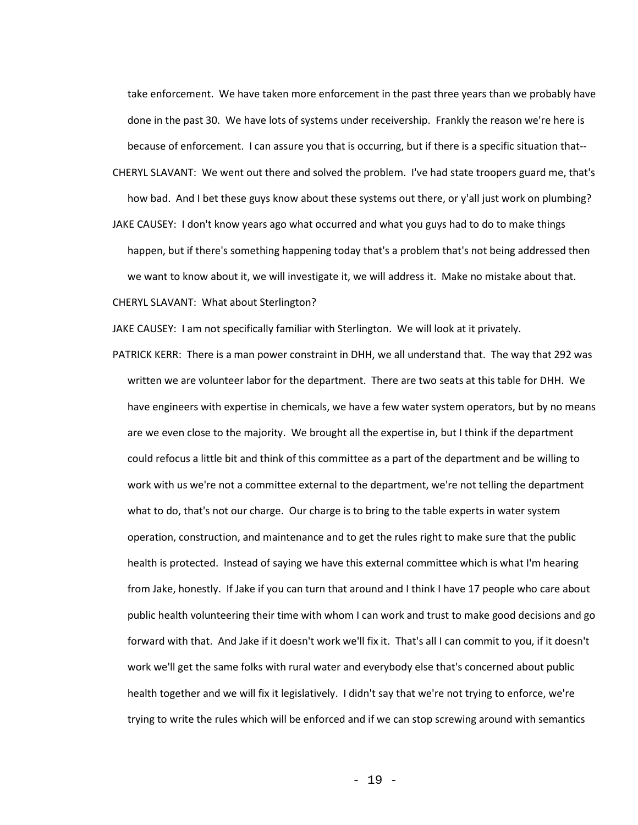take enforcement. We have taken more enforcement in the past three years than we probably have done in the past 30. We have lots of systems under receivership. Frankly the reason we're here is because of enforcement. I can assure you that is occurring, but if there is a specific situation that--

CHERYL SLAVANT: We went out there and solved the problem. I've had state troopers guard me, that's how bad. And I bet these guys know about these systems out there, or y'all just work on plumbing?

JAKE CAUSEY: I don't know years ago what occurred and what you guys had to do to make things happen, but if there's something happening today that's a problem that's not being addressed then we want to know about it, we will investigate it, we will address it. Make no mistake about that.

CHERYL SLAVANT: What about Sterlington?

JAKE CAUSEY: I am not specifically familiar with Sterlington. We will look at it privately.

PATRICK KERR: There is a man power constraint in DHH, we all understand that. The way that 292 was written we are volunteer labor for the department. There are two seats at this table for DHH. We have engineers with expertise in chemicals, we have a few water system operators, but by no means are we even close to the majority. We brought all the expertise in, but I think if the department could refocus a little bit and think of this committee as a part of the department and be willing to work with us we're not a committee external to the department, we're not telling the department what to do, that's not our charge. Our charge is to bring to the table experts in water system operation, construction, and maintenance and to get the rules right to make sure that the public health is protected. Instead of saying we have this external committee which is what I'm hearing from Jake, honestly. If Jake if you can turn that around and I think I have 17 people who care about public health volunteering their time with whom I can work and trust to make good decisions and go forward with that. And Jake if it doesn't work we'll fix it. That's all I can commit to you, if it doesn't work we'll get the same folks with rural water and everybody else that's concerned about public health together and we will fix it legislatively. I didn't say that we're not trying to enforce, we're trying to write the rules which will be enforced and if we can stop screwing around with semantics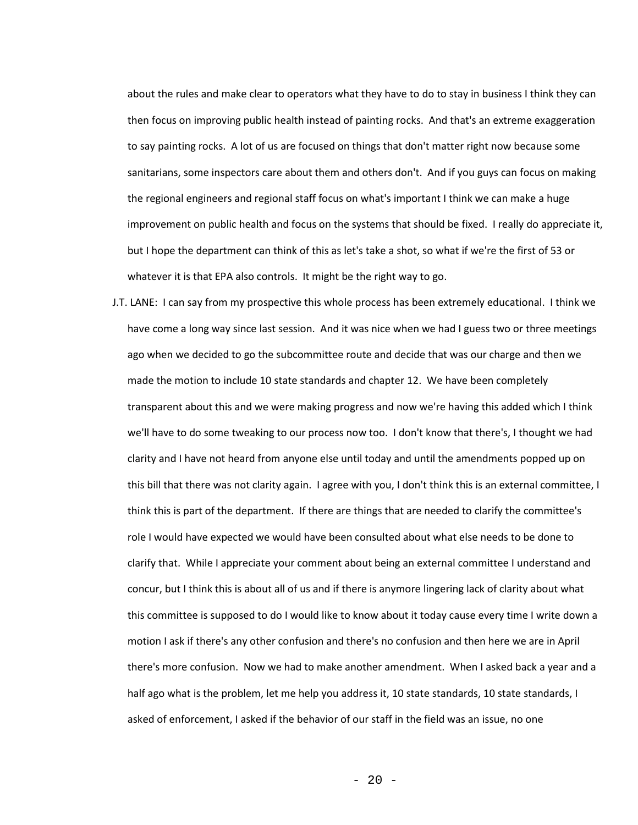about the rules and make clear to operators what they have to do to stay in business I think they can then focus on improving public health instead of painting rocks. And that's an extreme exaggeration to say painting rocks. A lot of us are focused on things that don't matter right now because some sanitarians, some inspectors care about them and others don't. And if you guys can focus on making the regional engineers and regional staff focus on what's important I think we can make a huge improvement on public health and focus on the systems that should be fixed. I really do appreciate it, but I hope the department can think of this as let's take a shot, so what if we're the first of 53 or whatever it is that EPA also controls. It might be the right way to go.

J.T. LANE: I can say from my prospective this whole process has been extremely educational. I think we have come a long way since last session. And it was nice when we had I guess two or three meetings ago when we decided to go the subcommittee route and decide that was our charge and then we made the motion to include 10 state standards and chapter 12. We have been completely transparent about this and we were making progress and now we're having this added which I think we'll have to do some tweaking to our process now too. I don't know that there's, I thought we had clarity and I have not heard from anyone else until today and until the amendments popped up on this bill that there was not clarity again. I agree with you, I don't think this is an external committee, I think this is part of the department. If there are things that are needed to clarify the committee's role I would have expected we would have been consulted about what else needs to be done to clarify that. While I appreciate your comment about being an external committee I understand and concur, but I think this is about all of us and if there is anymore lingering lack of clarity about what this committee is supposed to do I would like to know about it today cause every time I write down a motion I ask if there's any other confusion and there's no confusion and then here we are in April there's more confusion. Now we had to make another amendment. When I asked back a year and a half ago what is the problem, let me help you address it, 10 state standards, 10 state standards, I asked of enforcement, I asked if the behavior of our staff in the field was an issue, no one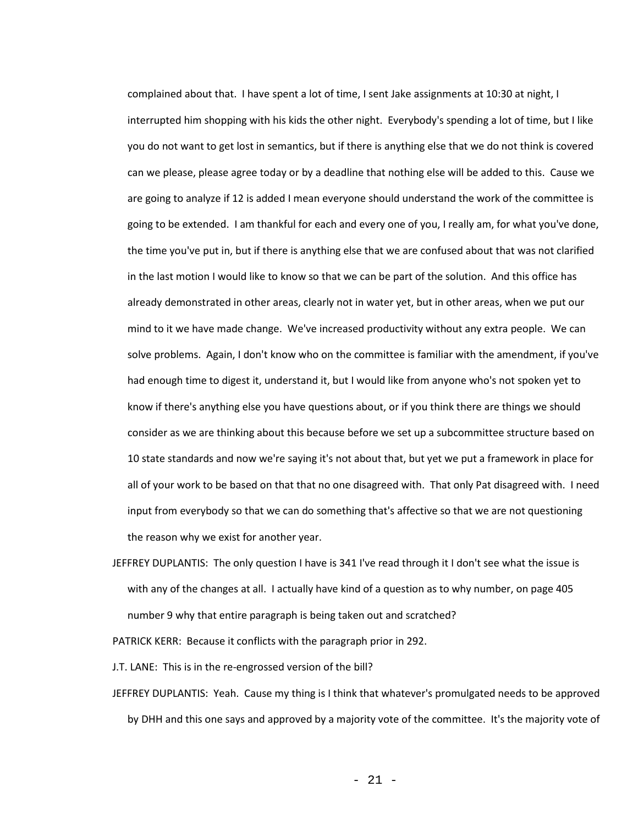complained about that. I have spent a lot of time, I sent Jake assignments at 10:30 at night, I interrupted him shopping with his kids the other night. Everybody's spending a lot of time, but I like you do not want to get lost in semantics, but if there is anything else that we do not think is covered can we please, please agree today or by a deadline that nothing else will be added to this. Cause we are going to analyze if 12 is added I mean everyone should understand the work of the committee is going to be extended. I am thankful for each and every one of you, I really am, for what you've done, the time you've put in, but if there is anything else that we are confused about that was not clarified in the last motion I would like to know so that we can be part of the solution. And this office has already demonstrated in other areas, clearly not in water yet, but in other areas, when we put our mind to it we have made change. We've increased productivity without any extra people. We can solve problems. Again, I don't know who on the committee is familiar with the amendment, if you've had enough time to digest it, understand it, but I would like from anyone who's not spoken yet to know if there's anything else you have questions about, or if you think there are things we should consider as we are thinking about this because before we set up a subcommittee structure based on 10 state standards and now we're saying it's not about that, but yet we put a framework in place for all of your work to be based on that that no one disagreed with. That only Pat disagreed with. I need input from everybody so that we can do something that's affective so that we are not questioning the reason why we exist for another year.

JEFFREY DUPLANTIS: The only question I have is 341 I've read through it I don't see what the issue is with any of the changes at all. I actually have kind of a question as to why number, on page 405 number 9 why that entire paragraph is being taken out and scratched?

PATRICK KERR: Because it conflicts with the paragraph prior in 292.

J.T. LANE: This is in the re-engrossed version of the bill?

JEFFREY DUPLANTIS: Yeah. Cause my thing is I think that whatever's promulgated needs to be approved by DHH and this one says and approved by a majority vote of the committee. It's the majority vote of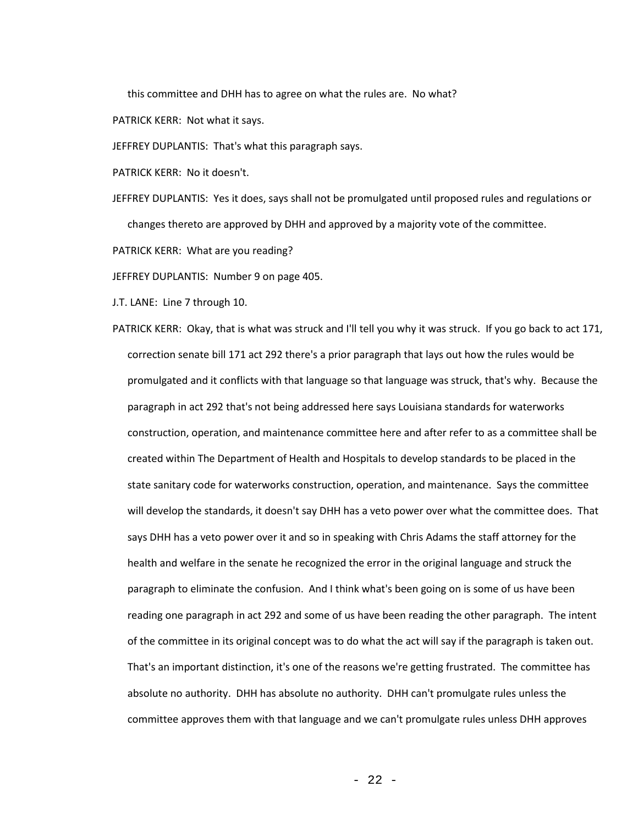this committee and DHH has to agree on what the rules are. No what?

PATRICK KERR: Not what it says.

JEFFREY DUPLANTIS: That's what this paragraph says.

PATRICK KERR: No it doesn't.

JEFFREY DUPLANTIS: Yes it does, says shall not be promulgated until proposed rules and regulations or changes thereto are approved by DHH and approved by a majority vote of the committee.

PATRICK KERR: What are you reading?

JEFFREY DUPLANTIS: Number 9 on page 405.

J.T. LANE: Line 7 through 10.

PATRICK KERR: Okay, that is what was struck and I'll tell you why it was struck. If you go back to act 171, correction senate bill 171 act 292 there's a prior paragraph that lays out how the rules would be promulgated and it conflicts with that language so that language was struck, that's why. Because the paragraph in act 292 that's not being addressed here says Louisiana standards for waterworks construction, operation, and maintenance committee here and after refer to as a committee shall be created within The Department of Health and Hospitals to develop standards to be placed in the state sanitary code for waterworks construction, operation, and maintenance. Says the committee will develop the standards, it doesn't say DHH has a veto power over what the committee does. That says DHH has a veto power over it and so in speaking with Chris Adams the staff attorney for the health and welfare in the senate he recognized the error in the original language and struck the paragraph to eliminate the confusion. And I think what's been going on is some of us have been reading one paragraph in act 292 and some of us have been reading the other paragraph. The intent of the committee in its original concept was to do what the act will say if the paragraph is taken out. That's an important distinction, it's one of the reasons we're getting frustrated. The committee has absolute no authority. DHH has absolute no authority. DHH can't promulgate rules unless the committee approves them with that language and we can't promulgate rules unless DHH approves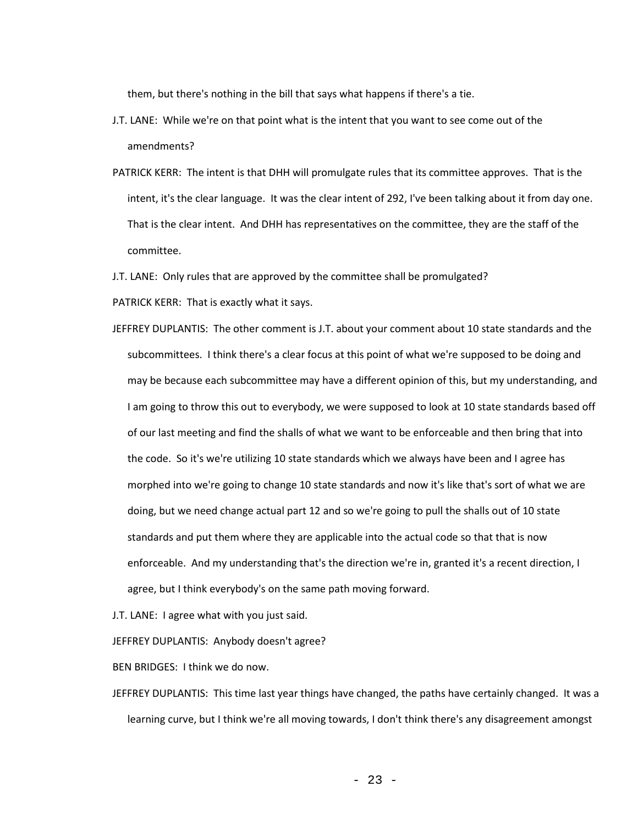them, but there's nothing in the bill that says what happens if there's a tie.

- J.T. LANE: While we're on that point what is the intent that you want to see come out of the amendments?
- PATRICK KERR: The intent is that DHH will promulgate rules that its committee approves. That is the intent, it's the clear language. It was the clear intent of 292, I've been talking about it from day one. That is the clear intent. And DHH has representatives on the committee, they are the staff of the committee.

J.T. LANE: Only rules that are approved by the committee shall be promulgated?

PATRICK KERR: That is exactly what it says.

JEFFREY DUPLANTIS: The other comment is J.T. about your comment about 10 state standards and the subcommittees. I think there's a clear focus at this point of what we're supposed to be doing and may be because each subcommittee may have a different opinion of this, but my understanding, and I am going to throw this out to everybody, we were supposed to look at 10 state standards based off of our last meeting and find the shalls of what we want to be enforceable and then bring that into the code. So it's we're utilizing 10 state standards which we always have been and I agree has morphed into we're going to change 10 state standards and now it's like that's sort of what we are doing, but we need change actual part 12 and so we're going to pull the shalls out of 10 state standards and put them where they are applicable into the actual code so that that is now enforceable. And my understanding that's the direction we're in, granted it's a recent direction, I agree, but I think everybody's on the same path moving forward.

J.T. LANE: I agree what with you just said.

JEFFREY DUPLANTIS: Anybody doesn't agree?

BEN BRIDGES: I think we do now.

JEFFREY DUPLANTIS: This time last year things have changed, the paths have certainly changed. It was a learning curve, but I think we're all moving towards, I don't think there's any disagreement amongst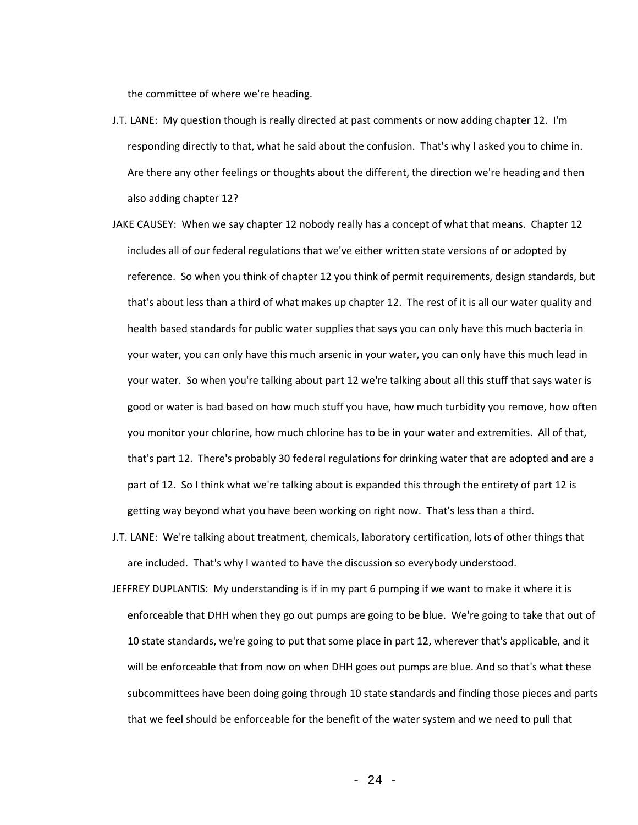the committee of where we're heading.

- J.T. LANE: My question though is really directed at past comments or now adding chapter 12. I'm responding directly to that, what he said about the confusion. That's why I asked you to chime in. Are there any other feelings or thoughts about the different, the direction we're heading and then also adding chapter 12?
- JAKE CAUSEY: When we say chapter 12 nobody really has a concept of what that means. Chapter 12 includes all of our federal regulations that we've either written state versions of or adopted by reference. So when you think of chapter 12 you think of permit requirements, design standards, but that's about less than a third of what makes up chapter 12. The rest of it is all our water quality and health based standards for public water supplies that says you can only have this much bacteria in your water, you can only have this much arsenic in your water, you can only have this much lead in your water. So when you're talking about part 12 we're talking about all this stuff that says water is good or water is bad based on how much stuff you have, how much turbidity you remove, how often you monitor your chlorine, how much chlorine has to be in your water and extremities. All of that, that's part 12. There's probably 30 federal regulations for drinking water that are adopted and are a part of 12. So I think what we're talking about is expanded this through the entirety of part 12 is getting way beyond what you have been working on right now. That's less than a third.
- J.T. LANE: We're talking about treatment, chemicals, laboratory certification, lots of other things that are included. That's why I wanted to have the discussion so everybody understood.
- JEFFREY DUPLANTIS: My understanding is if in my part 6 pumping if we want to make it where it is enforceable that DHH when they go out pumps are going to be blue. We're going to take that out of 10 state standards, we're going to put that some place in part 12, wherever that's applicable, and it will be enforceable that from now on when DHH goes out pumps are blue. And so that's what these subcommittees have been doing going through 10 state standards and finding those pieces and parts that we feel should be enforceable for the benefit of the water system and we need to pull that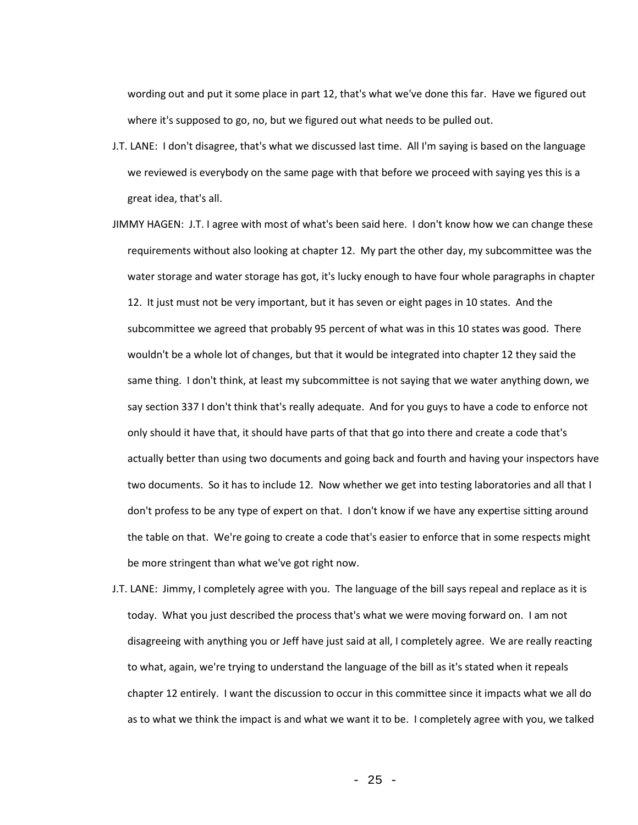wording out and put it some place in part 12, that's what we've done this far. Have we figured out where it's supposed to go, no, but we figured out what needs to be pulled out.

- J.T. LANE: I don't disagree, that's what we discussed last time. All I'm saying is based on the language we reviewed is everybody on the same page with that before we proceed with saying yes this is a great idea, that's all.
- JIMMY HAGEN: J.T. I agree with most of what's been said here. I don't know how we can change these requirements without also looking at chapter 12. My part the other day, my subcommittee was the water storage and water storage has got, it's lucky enough to have four whole paragraphs in chapter 12. It just must not be very important, but it has seven or eight pages in 10 states. And the subcommittee we agreed that probably 95 percent of what was in this 10 states was good. There wouldn't be a whole lot of changes, but that it would be integrated into chapter 12 they said the same thing. I don't think, at least my subcommittee is not saying that we water anything down, we say section 337 I don't think that's really adequate. And for you guys to have a code to enforce not only should it have that, it should have parts of that that go into there and create a code that's actually better than using two documents and going back and fourth and having your inspectors have two documents. So it has to include 12. Now whether we get into testing laboratories and all that I don't profess to be any type of expert on that. I don't know if we have any expertise sitting around the table on that. We're going to create a code that's easier to enforce that in some respects might be more stringent than what we've got right now.
- J.T. LANE: Jimmy, I completely agree with you. The language of the bill says repeal and replace as it is today. What you just described the process that's what we were moving forward on. I am not disagreeing with anything you or Jeff have just said at all, I completely agree. We are really reacting to what, again, we're trying to understand the language of the bill as it's stated when it repeals chapter 12 entirely. I want the discussion to occur in this committee since it impacts what we all do as to what we think the impact is and what we want it to be. I completely agree with you, we talked

 $- 25 -$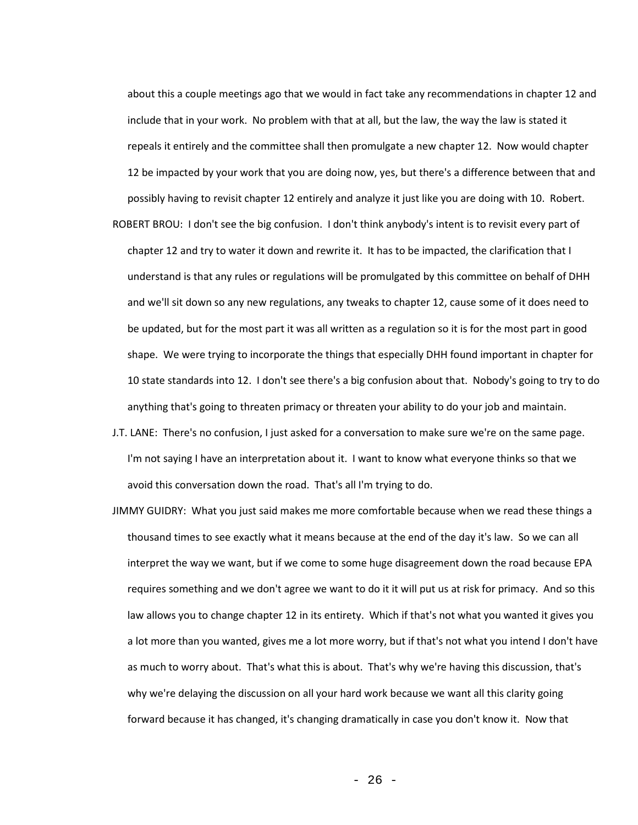about this a couple meetings ago that we would in fact take any recommendations in chapter 12 and include that in your work. No problem with that at all, but the law, the way the law is stated it repeals it entirely and the committee shall then promulgate a new chapter 12. Now would chapter 12 be impacted by your work that you are doing now, yes, but there's a difference between that and possibly having to revisit chapter 12 entirely and analyze it just like you are doing with 10. Robert.

- ROBERT BROU: I don't see the big confusion. I don't think anybody's intent is to revisit every part of chapter 12 and try to water it down and rewrite it. It has to be impacted, the clarification that I understand is that any rules or regulations will be promulgated by this committee on behalf of DHH and we'll sit down so any new regulations, any tweaks to chapter 12, cause some of it does need to be updated, but for the most part it was all written as a regulation so it is for the most part in good shape. We were trying to incorporate the things that especially DHH found important in chapter for 10 state standards into 12. I don't see there's a big confusion about that. Nobody's going to try to do anything that's going to threaten primacy or threaten your ability to do your job and maintain.
- J.T. LANE: There's no confusion, I just asked for a conversation to make sure we're on the same page. I'm not saying I have an interpretation about it. I want to know what everyone thinks so that we avoid this conversation down the road. That's all I'm trying to do.
- JIMMY GUIDRY: What you just said makes me more comfortable because when we read these things a thousand times to see exactly what it means because at the end of the day it's law. So we can all interpret the way we want, but if we come to some huge disagreement down the road because EPA requires something and we don't agree we want to do it it will put us at risk for primacy. And so this law allows you to change chapter 12 in its entirety. Which if that's not what you wanted it gives you a lot more than you wanted, gives me a lot more worry, but if that's not what you intend I don't have as much to worry about. That's what this is about. That's why we're having this discussion, that's why we're delaying the discussion on all your hard work because we want all this clarity going forward because it has changed, it's changing dramatically in case you don't know it. Now that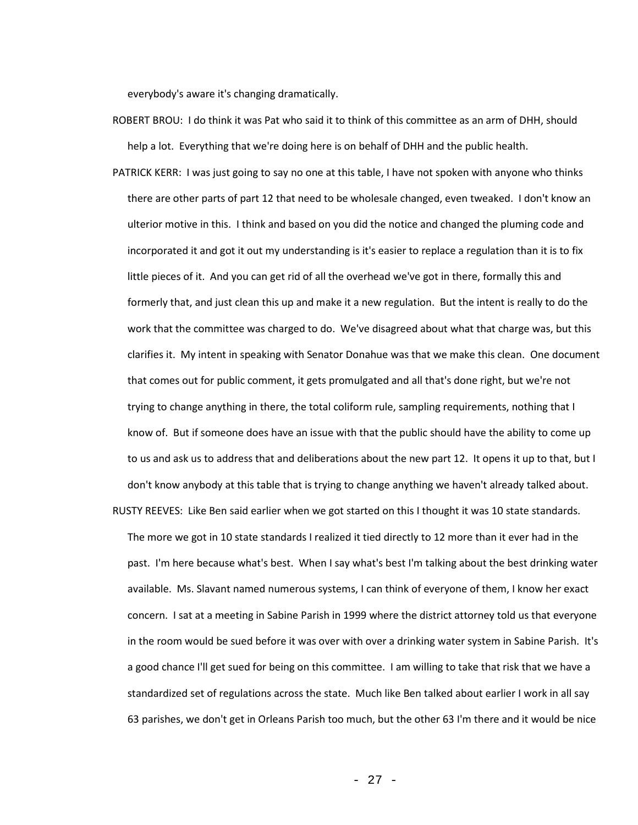everybody's aware it's changing dramatically.

- ROBERT BROU: I do think it was Pat who said it to think of this committee as an arm of DHH, should help a lot. Everything that we're doing here is on behalf of DHH and the public health.
- PATRICK KERR: I was just going to say no one at this table, I have not spoken with anyone who thinks there are other parts of part 12 that need to be wholesale changed, even tweaked. I don't know an ulterior motive in this. I think and based on you did the notice and changed the pluming code and incorporated it and got it out my understanding is it's easier to replace a regulation than it is to fix little pieces of it. And you can get rid of all the overhead we've got in there, formally this and formerly that, and just clean this up and make it a new regulation. But the intent is really to do the work that the committee was charged to do. We've disagreed about what that charge was, but this clarifies it. My intent in speaking with Senator Donahue was that we make this clean. One document that comes out for public comment, it gets promulgated and all that's done right, but we're not trying to change anything in there, the total coliform rule, sampling requirements, nothing that I know of. But if someone does have an issue with that the public should have the ability to come up to us and ask us to address that and deliberations about the new part 12. It opens it up to that, but I don't know anybody at this table that is trying to change anything we haven't already talked about.
- RUSTY REEVES: Like Ben said earlier when we got started on this I thought it was 10 state standards. The more we got in 10 state standards I realized it tied directly to 12 more than it ever had in the past. I'm here because what's best. When I say what's best I'm talking about the best drinking water available. Ms. Slavant named numerous systems, I can think of everyone of them, I know her exact concern. I sat at a meeting in Sabine Parish in 1999 where the district attorney told us that everyone in the room would be sued before it was over with over a drinking water system in Sabine Parish. It's a good chance I'll get sued for being on this committee. I am willing to take that risk that we have a standardized set of regulations across the state. Much like Ben talked about earlier I work in all say 63 parishes, we don't get in Orleans Parish too much, but the other 63 I'm there and it would be nice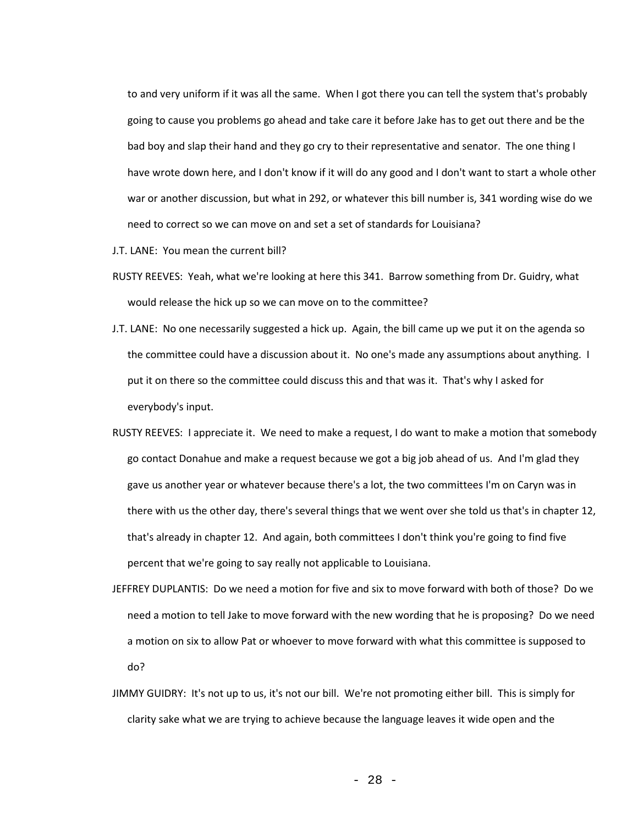to and very uniform if it was all the same. When I got there you can tell the system that's probably going to cause you problems go ahead and take care it before Jake has to get out there and be the bad boy and slap their hand and they go cry to their representative and senator. The one thing I have wrote down here, and I don't know if it will do any good and I don't want to start a whole other war or another discussion, but what in 292, or whatever this bill number is, 341 wording wise do we need to correct so we can move on and set a set of standards for Louisiana?

- J.T. LANE: You mean the current bill?
- RUSTY REEVES: Yeah, what we're looking at here this 341. Barrow something from Dr. Guidry, what would release the hick up so we can move on to the committee?
- J.T. LANE: No one necessarily suggested a hick up. Again, the bill came up we put it on the agenda so the committee could have a discussion about it. No one's made any assumptions about anything. I put it on there so the committee could discuss this and that was it. That's why I asked for everybody's input.
- RUSTY REEVES: I appreciate it. We need to make a request, I do want to make a motion that somebody go contact Donahue and make a request because we got a big job ahead of us. And I'm glad they gave us another year or whatever because there's a lot, the two committees I'm on Caryn was in there with us the other day, there's several things that we went over she told us that's in chapter 12, that's already in chapter 12. And again, both committees I don't think you're going to find five percent that we're going to say really not applicable to Louisiana.
- JEFFREY DUPLANTIS: Do we need a motion for five and six to move forward with both of those? Do we need a motion to tell Jake to move forward with the new wording that he is proposing? Do we need a motion on six to allow Pat or whoever to move forward with what this committee is supposed to do?
- JIMMY GUIDRY: It's not up to us, it's not our bill. We're not promoting either bill. This is simply for clarity sake what we are trying to achieve because the language leaves it wide open and the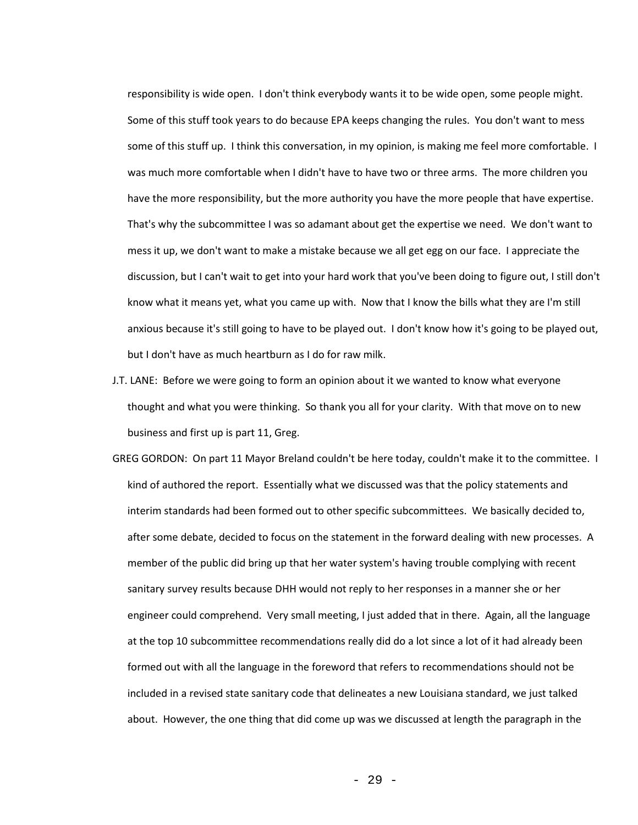responsibility is wide open. I don't think everybody wants it to be wide open, some people might. Some of this stuff took years to do because EPA keeps changing the rules. You don't want to mess some of this stuff up. I think this conversation, in my opinion, is making me feel more comfortable. I was much more comfortable when I didn't have to have two or three arms. The more children you have the more responsibility, but the more authority you have the more people that have expertise. That's why the subcommittee I was so adamant about get the expertise we need. We don't want to mess it up, we don't want to make a mistake because we all get egg on our face. I appreciate the discussion, but I can't wait to get into your hard work that you've been doing to figure out, I still don't know what it means yet, what you came up with. Now that I know the bills what they are I'm still anxious because it's still going to have to be played out. I don't know how it's going to be played out, but I don't have as much heartburn as I do for raw milk.

- J.T. LANE: Before we were going to form an opinion about it we wanted to know what everyone thought and what you were thinking. So thank you all for your clarity. With that move on to new business and first up is part 11, Greg.
- GREG GORDON: On part 11 Mayor Breland couldn't be here today, couldn't make it to the committee. I kind of authored the report. Essentially what we discussed was that the policy statements and interim standards had been formed out to other specific subcommittees. We basically decided to, after some debate, decided to focus on the statement in the forward dealing with new processes. A member of the public did bring up that her water system's having trouble complying with recent sanitary survey results because DHH would not reply to her responses in a manner she or her engineer could comprehend. Very small meeting, I just added that in there. Again, all the language at the top 10 subcommittee recommendations really did do a lot since a lot of it had already been formed out with all the language in the foreword that refers to recommendations should not be included in a revised state sanitary code that delineates a new Louisiana standard, we just talked about. However, the one thing that did come up was we discussed at length the paragraph in the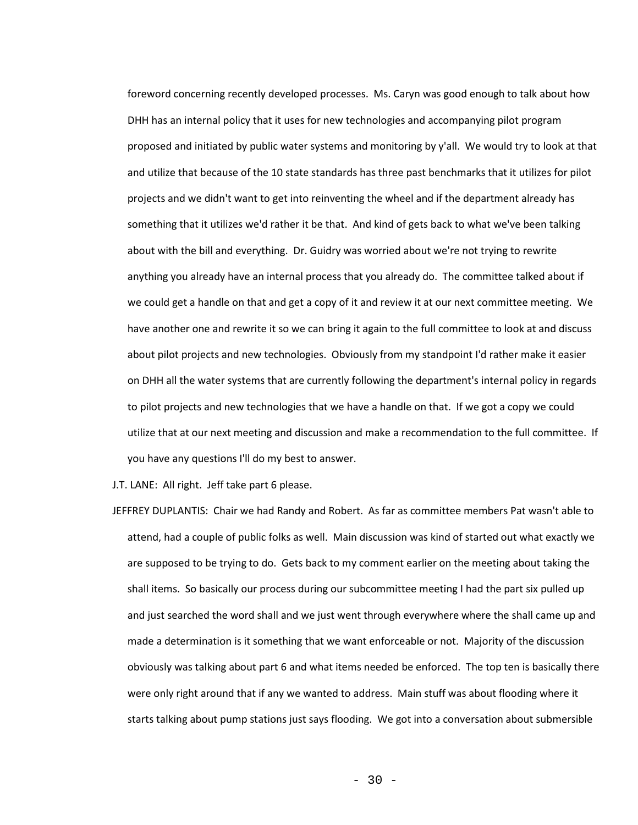foreword concerning recently developed processes. Ms. Caryn was good enough to talk about how DHH has an internal policy that it uses for new technologies and accompanying pilot program proposed and initiated by public water systems and monitoring by y'all. We would try to look at that and utilize that because of the 10 state standards has three past benchmarks that it utilizes for pilot projects and we didn't want to get into reinventing the wheel and if the department already has something that it utilizes we'd rather it be that. And kind of gets back to what we've been talking about with the bill and everything. Dr. Guidry was worried about we're not trying to rewrite anything you already have an internal process that you already do. The committee talked about if we could get a handle on that and get a copy of it and review it at our next committee meeting. We have another one and rewrite it so we can bring it again to the full committee to look at and discuss about pilot projects and new technologies. Obviously from my standpoint I'd rather make it easier on DHH all the water systems that are currently following the department's internal policy in regards to pilot projects and new technologies that we have a handle on that. If we got a copy we could utilize that at our next meeting and discussion and make a recommendation to the full committee. If you have any questions I'll do my best to answer.

J.T. LANE: All right. Jeff take part 6 please.

JEFFREY DUPLANTIS: Chair we had Randy and Robert. As far as committee members Pat wasn't able to attend, had a couple of public folks as well. Main discussion was kind of started out what exactly we are supposed to be trying to do. Gets back to my comment earlier on the meeting about taking the shall items. So basically our process during our subcommittee meeting I had the part six pulled up and just searched the word shall and we just went through everywhere where the shall came up and made a determination is it something that we want enforceable or not. Majority of the discussion obviously was talking about part 6 and what items needed be enforced. The top ten is basically there were only right around that if any we wanted to address. Main stuff was about flooding where it starts talking about pump stations just says flooding. We got into a conversation about submersible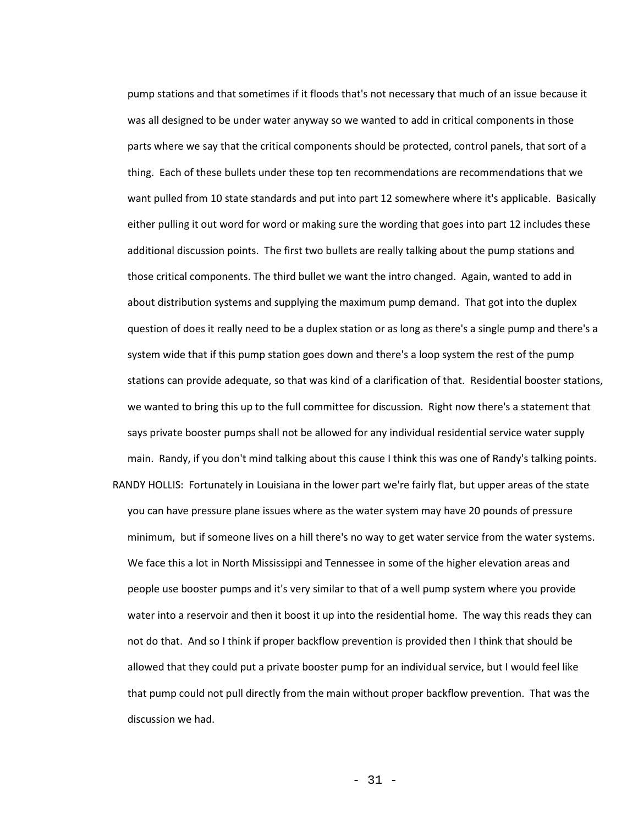pump stations and that sometimes if it floods that's not necessary that much of an issue because it was all designed to be under water anyway so we wanted to add in critical components in those parts where we say that the critical components should be protected, control panels, that sort of a thing. Each of these bullets under these top ten recommendations are recommendations that we want pulled from 10 state standards and put into part 12 somewhere where it's applicable. Basically either pulling it out word for word or making sure the wording that goes into part 12 includes these additional discussion points. The first two bullets are really talking about the pump stations and those critical components. The third bullet we want the intro changed. Again, wanted to add in about distribution systems and supplying the maximum pump demand. That got into the duplex question of does it really need to be a duplex station or as long as there's a single pump and there's a system wide that if this pump station goes down and there's a loop system the rest of the pump stations can provide adequate, so that was kind of a clarification of that. Residential booster stations, we wanted to bring this up to the full committee for discussion. Right now there's a statement that says private booster pumps shall not be allowed for any individual residential service water supply main. Randy, if you don't mind talking about this cause I think this was one of Randy's talking points. RANDY HOLLIS: Fortunately in Louisiana in the lower part we're fairly flat, but upper areas of the state you can have pressure plane issues where as the water system may have 20 pounds of pressure minimum, but if someone lives on a hill there's no way to get water service from the water systems. We face this a lot in North Mississippi and Tennessee in some of the higher elevation areas and people use booster pumps and it's very similar to that of a well pump system where you provide water into a reservoir and then it boost it up into the residential home. The way this reads they can not do that. And so I think if proper backflow prevention is provided then I think that should be allowed that they could put a private booster pump for an individual service, but I would feel like that pump could not pull directly from the main without proper backflow prevention. That was the

- 31 -

discussion we had.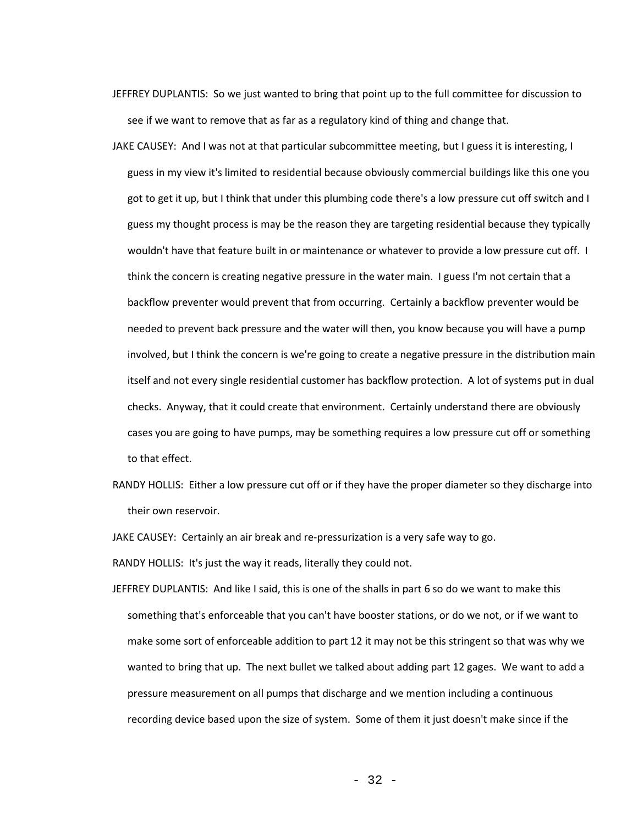- JEFFREY DUPLANTIS: So we just wanted to bring that point up to the full committee for discussion to see if we want to remove that as far as a regulatory kind of thing and change that.
- JAKE CAUSEY: And I was not at that particular subcommittee meeting, but I guess it is interesting, I guess in my view it's limited to residential because obviously commercial buildings like this one you got to get it up, but I think that under this plumbing code there's a low pressure cut off switch and I guess my thought process is may be the reason they are targeting residential because they typically wouldn't have that feature built in or maintenance or whatever to provide a low pressure cut off. I think the concern is creating negative pressure in the water main. I guess I'm not certain that a backflow preventer would prevent that from occurring. Certainly a backflow preventer would be needed to prevent back pressure and the water will then, you know because you will have a pump involved, but I think the concern is we're going to create a negative pressure in the distribution main itself and not every single residential customer has backflow protection. A lot of systems put in dual checks. Anyway, that it could create that environment. Certainly understand there are obviously cases you are going to have pumps, may be something requires a low pressure cut off or something to that effect.
- RANDY HOLLIS: Either a low pressure cut off or if they have the proper diameter so they discharge into their own reservoir.

JAKE CAUSEY: Certainly an air break and re-pressurization is a very safe way to go.

RANDY HOLLIS: It's just the way it reads, literally they could not.

JEFFREY DUPLANTIS: And like I said, this is one of the shalls in part 6 so do we want to make this something that's enforceable that you can't have booster stations, or do we not, or if we want to make some sort of enforceable addition to part 12 it may not be this stringent so that was why we wanted to bring that up. The next bullet we talked about adding part 12 gages. We want to add a pressure measurement on all pumps that discharge and we mention including a continuous recording device based upon the size of system. Some of them it just doesn't make since if the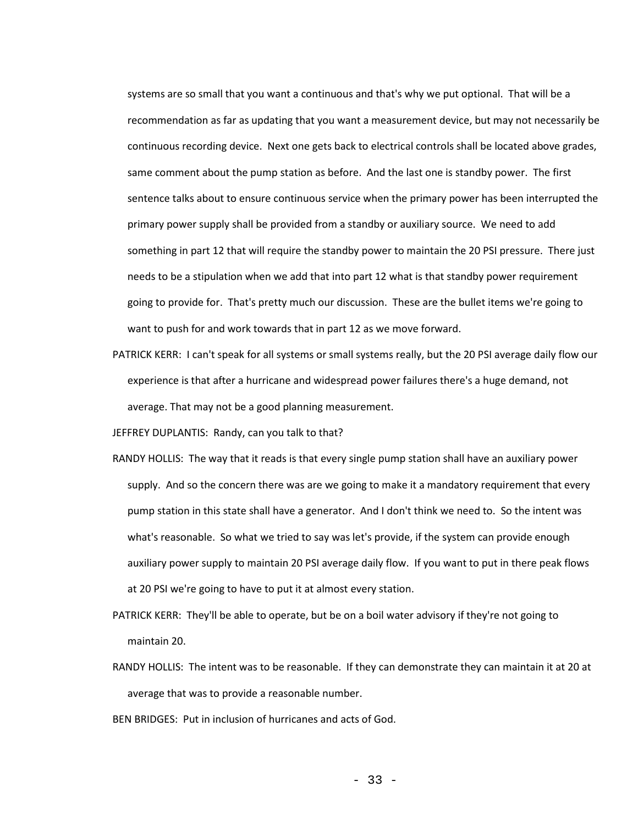systems are so small that you want a continuous and that's why we put optional. That will be a recommendation as far as updating that you want a measurement device, but may not necessarily be continuous recording device. Next one gets back to electrical controls shall be located above grades, same comment about the pump station as before. And the last one is standby power. The first sentence talks about to ensure continuous service when the primary power has been interrupted the primary power supply shall be provided from a standby or auxiliary source. We need to add something in part 12 that will require the standby power to maintain the 20 PSI pressure. There just needs to be a stipulation when we add that into part 12 what is that standby power requirement going to provide for. That's pretty much our discussion. These are the bullet items we're going to want to push for and work towards that in part 12 as we move forward.

PATRICK KERR: I can't speak for all systems or small systems really, but the 20 PSI average daily flow our experience is that after a hurricane and widespread power failures there's a huge demand, not average. That may not be a good planning measurement.

JEFFREY DUPLANTIS: Randy, can you talk to that?

- RANDY HOLLIS: The way that it reads is that every single pump station shall have an auxiliary power supply. And so the concern there was are we going to make it a mandatory requirement that every pump station in this state shall have a generator. And I don't think we need to. So the intent was what's reasonable. So what we tried to say was let's provide, if the system can provide enough auxiliary power supply to maintain 20 PSI average daily flow. If you want to put in there peak flows at 20 PSI we're going to have to put it at almost every station.
- PATRICK KERR: They'll be able to operate, but be on a boil water advisory if they're not going to maintain 20.
- RANDY HOLLIS: The intent was to be reasonable. If they can demonstrate they can maintain it at 20 at average that was to provide a reasonable number.
- BEN BRIDGES: Put in inclusion of hurricanes and acts of God.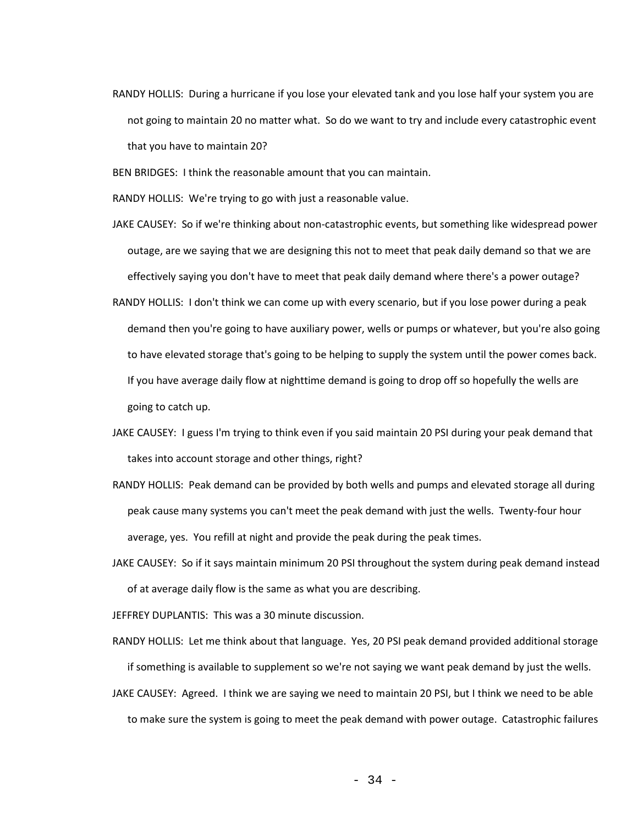RANDY HOLLIS: During a hurricane if you lose your elevated tank and you lose half your system you are not going to maintain 20 no matter what. So do we want to try and include every catastrophic event that you have to maintain 20?

BEN BRIDGES: I think the reasonable amount that you can maintain.

RANDY HOLLIS: We're trying to go with just a reasonable value.

- JAKE CAUSEY: So if we're thinking about non-catastrophic events, but something like widespread power outage, are we saying that we are designing this not to meet that peak daily demand so that we are effectively saying you don't have to meet that peak daily demand where there's a power outage?
- RANDY HOLLIS: I don't think we can come up with every scenario, but if you lose power during a peak demand then you're going to have auxiliary power, wells or pumps or whatever, but you're also going to have elevated storage that's going to be helping to supply the system until the power comes back. If you have average daily flow at nighttime demand is going to drop off so hopefully the wells are going to catch up.
- JAKE CAUSEY: I guess I'm trying to think even if you said maintain 20 PSI during your peak demand that takes into account storage and other things, right?
- RANDY HOLLIS: Peak demand can be provided by both wells and pumps and elevated storage all during peak cause many systems you can't meet the peak demand with just the wells. Twenty-four hour average, yes. You refill at night and provide the peak during the peak times.
- JAKE CAUSEY: So if it says maintain minimum 20 PSI throughout the system during peak demand instead of at average daily flow is the same as what you are describing.

JEFFREY DUPLANTIS: This was a 30 minute discussion.

- RANDY HOLLIS: Let me think about that language. Yes, 20 PSI peak demand provided additional storage if something is available to supplement so we're not saying we want peak demand by just the wells.
- JAKE CAUSEY: Agreed. I think we are saying we need to maintain 20 PSI, but I think we need to be able to make sure the system is going to meet the peak demand with power outage. Catastrophic failures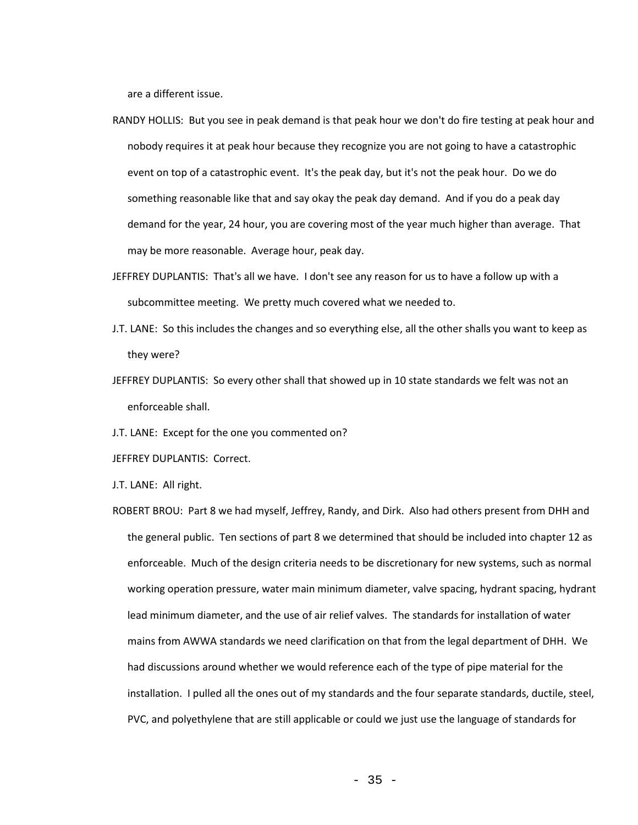are a different issue.

- RANDY HOLLIS: But you see in peak demand is that peak hour we don't do fire testing at peak hour and nobody requires it at peak hour because they recognize you are not going to have a catastrophic event on top of a catastrophic event. It's the peak day, but it's not the peak hour. Do we do something reasonable like that and say okay the peak day demand. And if you do a peak day demand for the year, 24 hour, you are covering most of the year much higher than average. That may be more reasonable. Average hour, peak day.
- JEFFREY DUPLANTIS: That's all we have. I don't see any reason for us to have a follow up with a subcommittee meeting. We pretty much covered what we needed to.
- J.T. LANE: So this includes the changes and so everything else, all the other shalls you want to keep as they were?
- JEFFREY DUPLANTIS: So every other shall that showed up in 10 state standards we felt was not an enforceable shall.
- J.T. LANE: Except for the one you commented on?
- JEFFREY DUPLANTIS: Correct.

J.T. LANE: All right.

ROBERT BROU: Part 8 we had myself, Jeffrey, Randy, and Dirk. Also had others present from DHH and the general public. Ten sections of part 8 we determined that should be included into chapter 12 as enforceable. Much of the design criteria needs to be discretionary for new systems, such as normal working operation pressure, water main minimum diameter, valve spacing, hydrant spacing, hydrant lead minimum diameter, and the use of air relief valves. The standards for installation of water mains from AWWA standards we need clarification on that from the legal department of DHH. We had discussions around whether we would reference each of the type of pipe material for the installation. I pulled all the ones out of my standards and the four separate standards, ductile, steel, PVC, and polyethylene that are still applicable or could we just use the language of standards for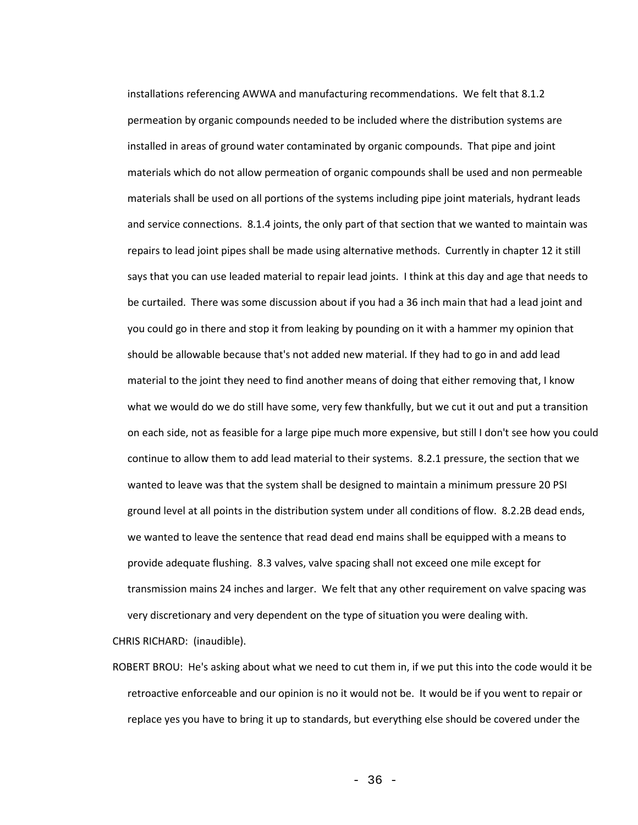installations referencing AWWA and manufacturing recommendations. We felt that 8.1.2 permeation by organic compounds needed to be included where the distribution systems are installed in areas of ground water contaminated by organic compounds. That pipe and joint materials which do not allow permeation of organic compounds shall be used and non permeable materials shall be used on all portions of the systems including pipe joint materials, hydrant leads and service connections. 8.1.4 joints, the only part of that section that we wanted to maintain was repairs to lead joint pipes shall be made using alternative methods. Currently in chapter 12 it still says that you can use leaded material to repair lead joints. I think at this day and age that needs to be curtailed. There was some discussion about if you had a 36 inch main that had a lead joint and you could go in there and stop it from leaking by pounding on it with a hammer my opinion that should be allowable because that's not added new material. If they had to go in and add lead material to the joint they need to find another means of doing that either removing that, I know what we would do we do still have some, very few thankfully, but we cut it out and put a transition on each side, not as feasible for a large pipe much more expensive, but still I don't see how you could continue to allow them to add lead material to their systems. 8.2.1 pressure, the section that we wanted to leave was that the system shall be designed to maintain a minimum pressure 20 PSI ground level at all points in the distribution system under all conditions of flow. 8.2.2B dead ends, we wanted to leave the sentence that read dead end mains shall be equipped with a means to provide adequate flushing. 8.3 valves, valve spacing shall not exceed one mile except for transmission mains 24 inches and larger. We felt that any other requirement on valve spacing was very discretionary and very dependent on the type of situation you were dealing with.

CHRIS RICHARD: (inaudible).

ROBERT BROU: He's asking about what we need to cut them in, if we put this into the code would it be retroactive enforceable and our opinion is no it would not be. It would be if you went to repair or replace yes you have to bring it up to standards, but everything else should be covered under the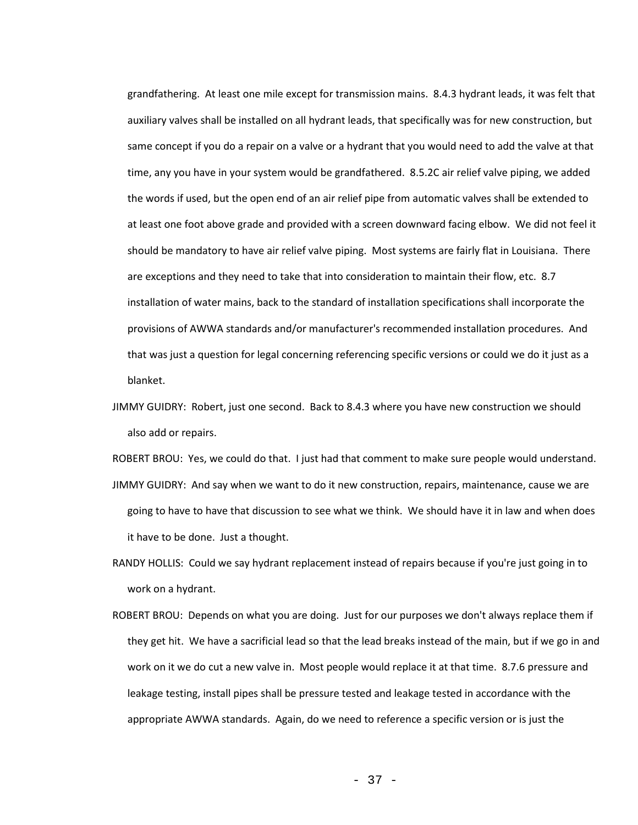grandfathering. At least one mile except for transmission mains. 8.4.3 hydrant leads, it was felt that auxiliary valves shall be installed on all hydrant leads, that specifically was for new construction, but same concept if you do a repair on a valve or a hydrant that you would need to add the valve at that time, any you have in your system would be grandfathered. 8.5.2C air relief valve piping, we added the words if used, but the open end of an air relief pipe from automatic valves shall be extended to at least one foot above grade and provided with a screen downward facing elbow. We did not feel it should be mandatory to have air relief valve piping. Most systems are fairly flat in Louisiana. There are exceptions and they need to take that into consideration to maintain their flow, etc. 8.7 installation of water mains, back to the standard of installation specifications shall incorporate the provisions of AWWA standards and/or manufacturer's recommended installation procedures. And that was just a question for legal concerning referencing specific versions or could we do it just as a blanket.

JIMMY GUIDRY: Robert, just one second. Back to 8.4.3 where you have new construction we should also add or repairs.

ROBERT BROU: Yes, we could do that. I just had that comment to make sure people would understand. JIMMY GUIDRY: And say when we want to do it new construction, repairs, maintenance, cause we are going to have to have that discussion to see what we think. We should have it in law and when does it have to be done. Just a thought.

- RANDY HOLLIS: Could we say hydrant replacement instead of repairs because if you're just going in to work on a hydrant.
- ROBERT BROU: Depends on what you are doing. Just for our purposes we don't always replace them if they get hit. We have a sacrificial lead so that the lead breaks instead of the main, but if we go in and work on it we do cut a new valve in. Most people would replace it at that time. 8.7.6 pressure and leakage testing, install pipes shall be pressure tested and leakage tested in accordance with the appropriate AWWA standards. Again, do we need to reference a specific version or is just the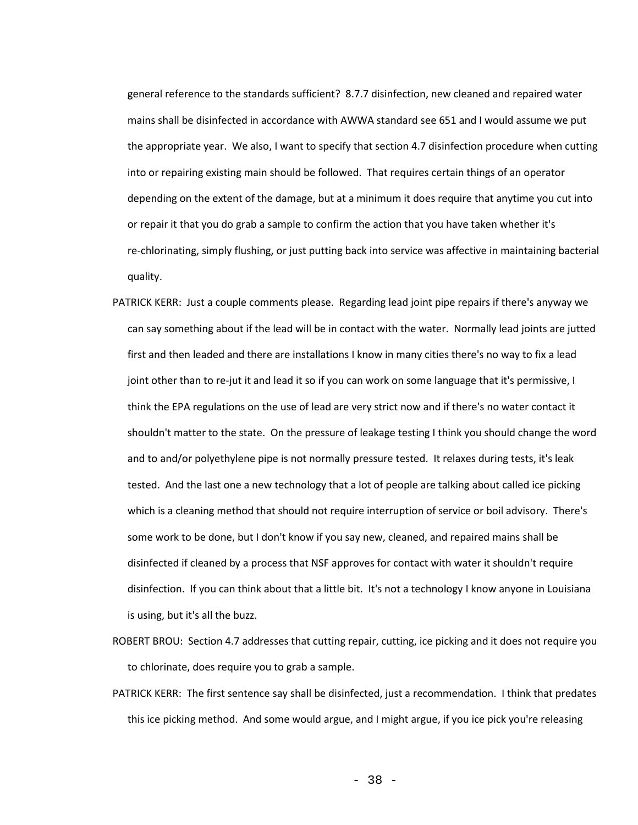general reference to the standards sufficient? 8.7.7 disinfection, new cleaned and repaired water mains shall be disinfected in accordance with AWWA standard see 651 and I would assume we put the appropriate year. We also, I want to specify that section 4.7 disinfection procedure when cutting into or repairing existing main should be followed. That requires certain things of an operator depending on the extent of the damage, but at a minimum it does require that anytime you cut into or repair it that you do grab a sample to confirm the action that you have taken whether it's re-chlorinating, simply flushing, or just putting back into service was affective in maintaining bacterial quality.

- PATRICK KERR: Just a couple comments please. Regarding lead joint pipe repairs if there's anyway we can say something about if the lead will be in contact with the water. Normally lead joints are jutted first and then leaded and there are installations I know in many cities there's no way to fix a lead joint other than to re-jut it and lead it so if you can work on some language that it's permissive, I think the EPA regulations on the use of lead are very strict now and if there's no water contact it shouldn't matter to the state. On the pressure of leakage testing I think you should change the word and to and/or polyethylene pipe is not normally pressure tested. It relaxes during tests, it's leak tested. And the last one a new technology that a lot of people are talking about called ice picking which is a cleaning method that should not require interruption of service or boil advisory. There's some work to be done, but I don't know if you say new, cleaned, and repaired mains shall be disinfected if cleaned by a process that NSF approves for contact with water it shouldn't require disinfection. If you can think about that a little bit. It's not a technology I know anyone in Louisiana is using, but it's all the buzz.
- ROBERT BROU: Section 4.7 addresses that cutting repair, cutting, ice picking and it does not require you to chlorinate, does require you to grab a sample.
- PATRICK KERR: The first sentence say shall be disinfected, just a recommendation. I think that predates this ice picking method. And some would argue, and I might argue, if you ice pick you're releasing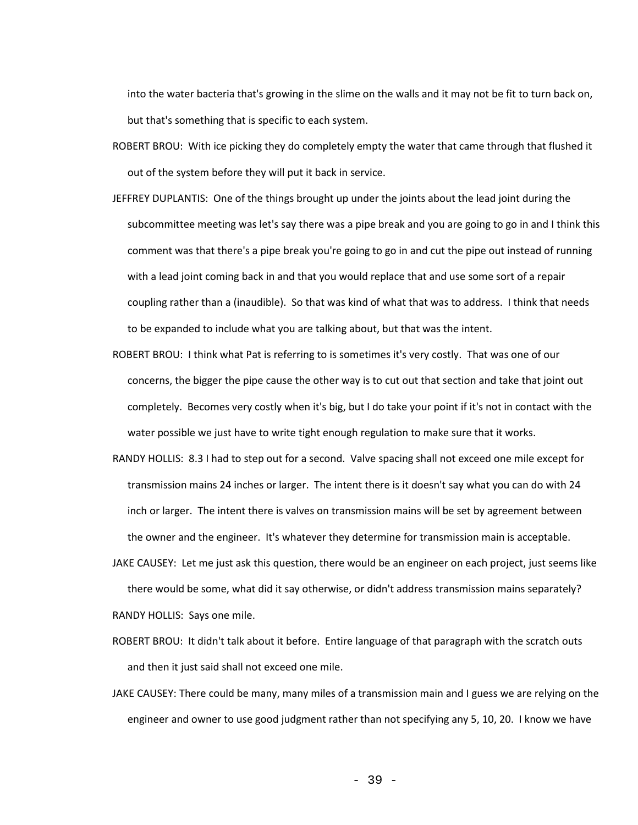into the water bacteria that's growing in the slime on the walls and it may not be fit to turn back on, but that's something that is specific to each system.

- ROBERT BROU: With ice picking they do completely empty the water that came through that flushed it out of the system before they will put it back in service.
- JEFFREY DUPLANTIS: One of the things brought up under the joints about the lead joint during the subcommittee meeting was let's say there was a pipe break and you are going to go in and I think this comment was that there's a pipe break you're going to go in and cut the pipe out instead of running with a lead joint coming back in and that you would replace that and use some sort of a repair coupling rather than a (inaudible). So that was kind of what that was to address. I think that needs to be expanded to include what you are talking about, but that was the intent.
- ROBERT BROU: I think what Pat is referring to is sometimes it's very costly. That was one of our concerns, the bigger the pipe cause the other way is to cut out that section and take that joint out completely. Becomes very costly when it's big, but I do take your point if it's not in contact with the water possible we just have to write tight enough regulation to make sure that it works.
- RANDY HOLLIS: 8.3 I had to step out for a second. Valve spacing shall not exceed one mile except for transmission mains 24 inches or larger. The intent there is it doesn't say what you can do with 24 inch or larger. The intent there is valves on transmission mains will be set by agreement between the owner and the engineer. It's whatever they determine for transmission main is acceptable.
- JAKE CAUSEY: Let me just ask this question, there would be an engineer on each project, just seems like there would be some, what did it say otherwise, or didn't address transmission mains separately? RANDY HOLLIS: Says one mile.
- ROBERT BROU: It didn't talk about it before. Entire language of that paragraph with the scratch outs and then it just said shall not exceed one mile.
- JAKE CAUSEY: There could be many, many miles of a transmission main and I guess we are relying on the engineer and owner to use good judgment rather than not specifying any 5, 10, 20. I know we have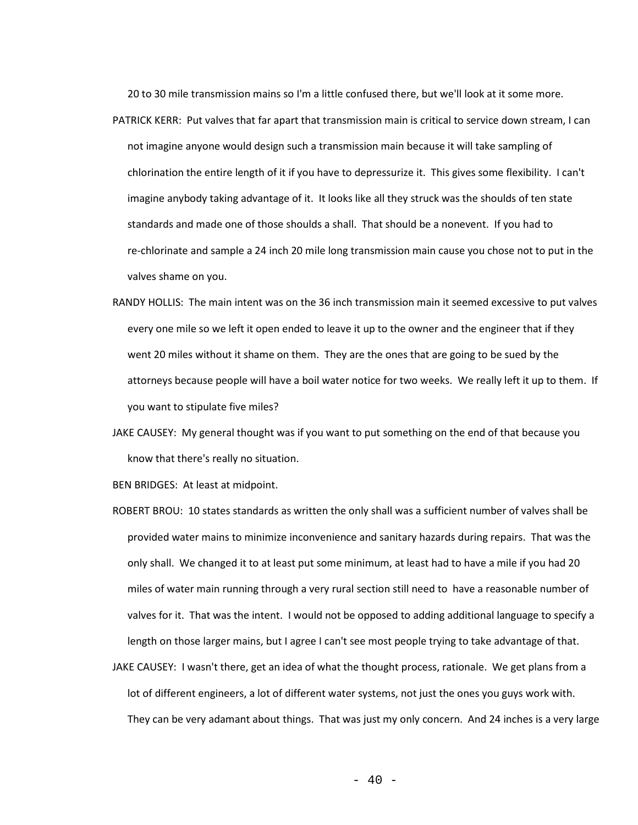20 to 30 mile transmission mains so I'm a little confused there, but we'll look at it some more.

- PATRICK KERR: Put valves that far apart that transmission main is critical to service down stream, I can not imagine anyone would design such a transmission main because it will take sampling of chlorination the entire length of it if you have to depressurize it. This gives some flexibility. I can't imagine anybody taking advantage of it. It looks like all they struck was the shoulds of ten state standards and made one of those shoulds a shall. That should be a nonevent. If you had to re-chlorinate and sample a 24 inch 20 mile long transmission main cause you chose not to put in the valves shame on you.
- RANDY HOLLIS: The main intent was on the 36 inch transmission main it seemed excessive to put valves every one mile so we left it open ended to leave it up to the owner and the engineer that if they went 20 miles without it shame on them. They are the ones that are going to be sued by the attorneys because people will have a boil water notice for two weeks. We really left it up to them. If you want to stipulate five miles?
- JAKE CAUSEY: My general thought was if you want to put something on the end of that because you know that there's really no situation.
- BEN BRIDGES: At least at midpoint.
- ROBERT BROU: 10 states standards as written the only shall was a sufficient number of valves shall be provided water mains to minimize inconvenience and sanitary hazards during repairs. That was the only shall. We changed it to at least put some minimum, at least had to have a mile if you had 20 miles of water main running through a very rural section still need to have a reasonable number of valves for it. That was the intent. I would not be opposed to adding additional language to specify a length on those larger mains, but I agree I can't see most people trying to take advantage of that.
- JAKE CAUSEY: I wasn't there, get an idea of what the thought process, rationale. We get plans from a lot of different engineers, a lot of different water systems, not just the ones you guys work with. They can be very adamant about things. That was just my only concern. And 24 inches is a very large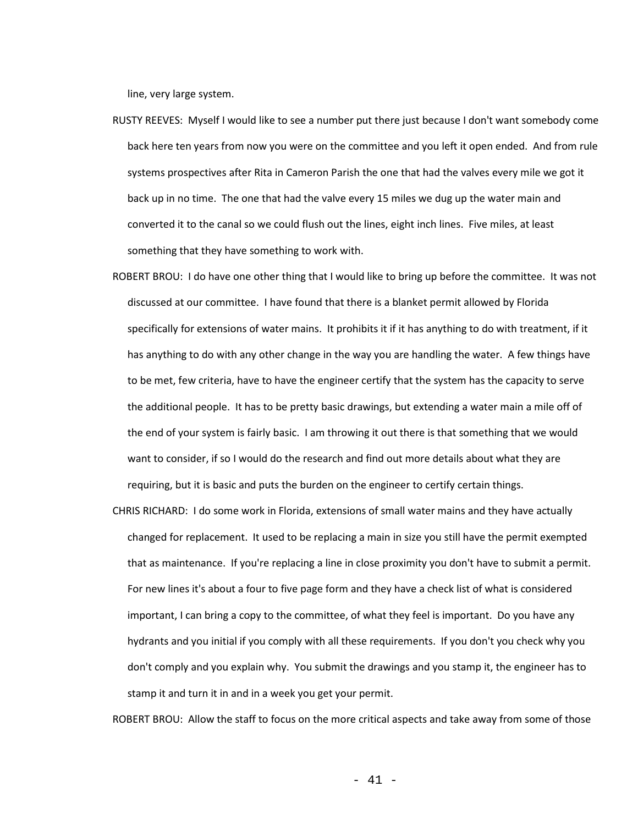line, very large system.

- RUSTY REEVES: Myself I would like to see a number put there just because I don't want somebody come back here ten years from now you were on the committee and you left it open ended. And from rule systems prospectives after Rita in Cameron Parish the one that had the valves every mile we got it back up in no time. The one that had the valve every 15 miles we dug up the water main and converted it to the canal so we could flush out the lines, eight inch lines. Five miles, at least something that they have something to work with.
- ROBERT BROU: I do have one other thing that I would like to bring up before the committee. It was not discussed at our committee. I have found that there is a blanket permit allowed by Florida specifically for extensions of water mains. It prohibits it if it has anything to do with treatment, if it has anything to do with any other change in the way you are handling the water. A few things have to be met, few criteria, have to have the engineer certify that the system has the capacity to serve the additional people. It has to be pretty basic drawings, but extending a water main a mile off of the end of your system is fairly basic. I am throwing it out there is that something that we would want to consider, if so I would do the research and find out more details about what they are requiring, but it is basic and puts the burden on the engineer to certify certain things.
- CHRIS RICHARD: I do some work in Florida, extensions of small water mains and they have actually changed for replacement. It used to be replacing a main in size you still have the permit exempted that as maintenance. If you're replacing a line in close proximity you don't have to submit a permit. For new lines it's about a four to five page form and they have a check list of what is considered important, I can bring a copy to the committee, of what they feel is important. Do you have any hydrants and you initial if you comply with all these requirements. If you don't you check why you don't comply and you explain why. You submit the drawings and you stamp it, the engineer has to stamp it and turn it in and in a week you get your permit.

ROBERT BROU: Allow the staff to focus on the more critical aspects and take away from some of those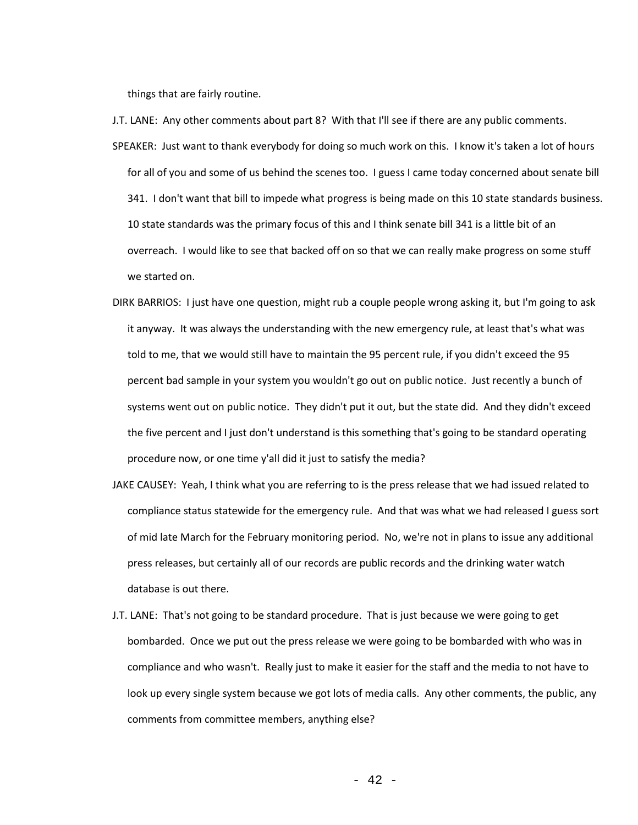things that are fairly routine.

- J.T. LANE: Any other comments about part 8? With that I'll see if there are any public comments. SPEAKER: Just want to thank everybody for doing so much work on this. I know it's taken a lot of hours for all of you and some of us behind the scenes too. I guess I came today concerned about senate bill 341. I don't want that bill to impede what progress is being made on this 10 state standards business. 10 state standards was the primary focus of this and I think senate bill 341 is a little bit of an overreach. I would like to see that backed off on so that we can really make progress on some stuff we started on.
- DIRK BARRIOS: I just have one question, might rub a couple people wrong asking it, but I'm going to ask it anyway. It was always the understanding with the new emergency rule, at least that's what was told to me, that we would still have to maintain the 95 percent rule, if you didn't exceed the 95 percent bad sample in your system you wouldn't go out on public notice. Just recently a bunch of systems went out on public notice. They didn't put it out, but the state did. And they didn't exceed the five percent and I just don't understand is this something that's going to be standard operating procedure now, or one time y'all did it just to satisfy the media?
- JAKE CAUSEY: Yeah, I think what you are referring to is the press release that we had issued related to compliance status statewide for the emergency rule. And that was what we had released I guess sort of mid late March for the February monitoring period. No, we're not in plans to issue any additional press releases, but certainly all of our records are public records and the drinking water watch database is out there.
- J.T. LANE: That's not going to be standard procedure. That is just because we were going to get bombarded. Once we put out the press release we were going to be bombarded with who was in compliance and who wasn't. Really just to make it easier for the staff and the media to not have to look up every single system because we got lots of media calls. Any other comments, the public, any comments from committee members, anything else?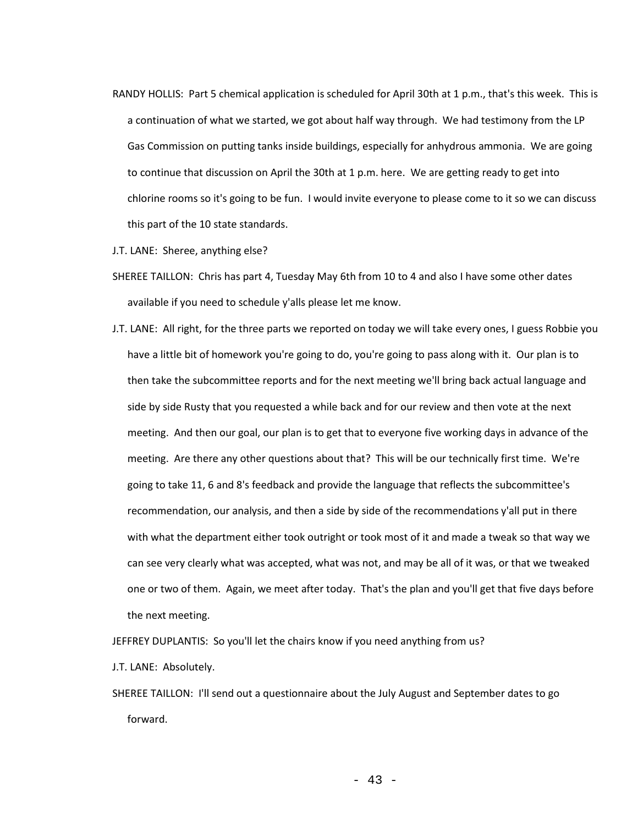- RANDY HOLLIS: Part 5 chemical application is scheduled for April 30th at 1 p.m., that's this week. This is a continuation of what we started, we got about half way through. We had testimony from the LP Gas Commission on putting tanks inside buildings, especially for anhydrous ammonia. We are going to continue that discussion on April the 30th at 1 p.m. here. We are getting ready to get into chlorine rooms so it's going to be fun. I would invite everyone to please come to it so we can discuss this part of the 10 state standards.
- J.T. LANE: Sheree, anything else?
- SHEREE TAILLON: Chris has part 4, Tuesday May 6th from 10 to 4 and also I have some other dates available if you need to schedule y'alls please let me know.
- J.T. LANE: All right, for the three parts we reported on today we will take every ones, I guess Robbie you have a little bit of homework you're going to do, you're going to pass along with it. Our plan is to then take the subcommittee reports and for the next meeting we'll bring back actual language and side by side Rusty that you requested a while back and for our review and then vote at the next meeting. And then our goal, our plan is to get that to everyone five working days in advance of the meeting. Are there any other questions about that? This will be our technically first time. We're going to take 11, 6 and 8's feedback and provide the language that reflects the subcommittee's recommendation, our analysis, and then a side by side of the recommendations y'all put in there with what the department either took outright or took most of it and made a tweak so that way we can see very clearly what was accepted, what was not, and may be all of it was, or that we tweaked one or two of them. Again, we meet after today. That's the plan and you'll get that five days before the next meeting.

JEFFREY DUPLANTIS: So you'll let the chairs know if you need anything from us?

- J.T. LANE: Absolutely.
- SHEREE TAILLON: I'll send out a questionnaire about the July August and September dates to go forward.